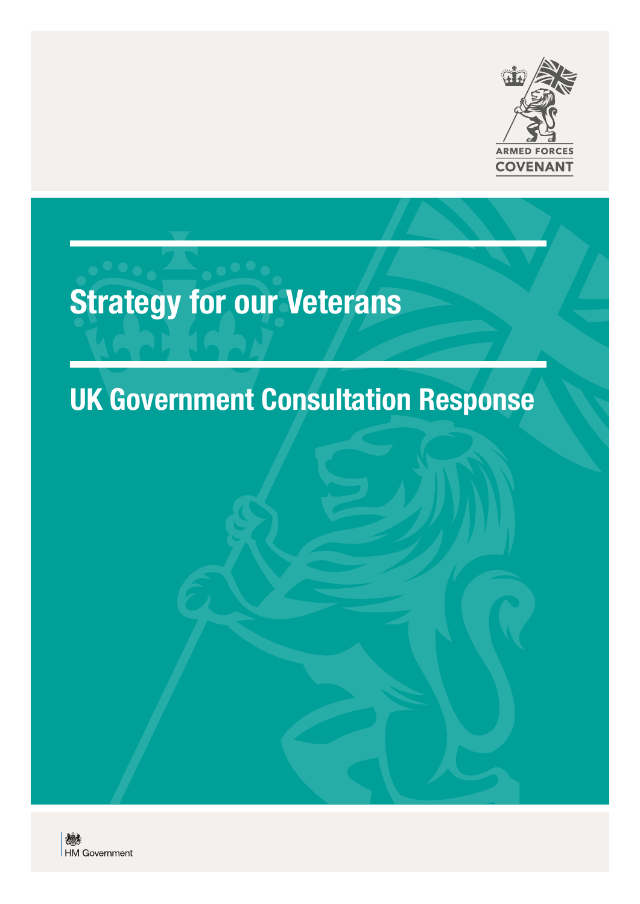

# Strategy for our Veterans

# UK Government Consultation Response

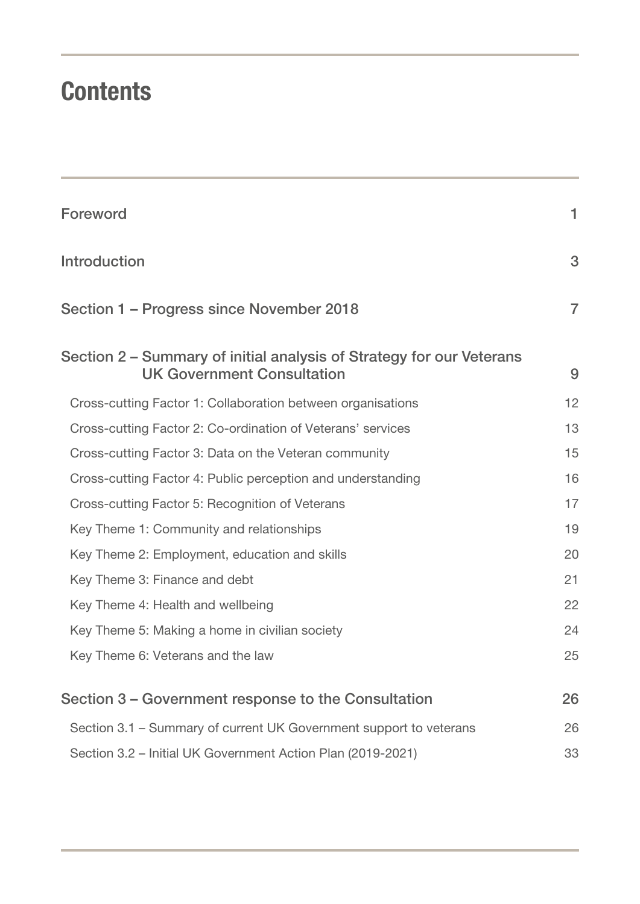# **Contents**

| Foreword                                                                                                  | 1              |
|-----------------------------------------------------------------------------------------------------------|----------------|
| <b>Introduction</b>                                                                                       | 3              |
| Section 1 – Progress since November 2018                                                                  | $\overline{7}$ |
| Section 2 - Summary of initial analysis of Strategy for our Veterans<br><b>UK Government Consultation</b> | 9              |
| Cross-cutting Factor 1: Collaboration between organisations                                               | 12             |
| Cross-cutting Factor 2: Co-ordination of Veterans' services                                               | 13             |
| Cross-cutting Factor 3: Data on the Veteran community                                                     | 15             |
| Cross-cutting Factor 4: Public perception and understanding                                               | 16             |
| Cross-cutting Factor 5: Recognition of Veterans                                                           | 17             |
| Key Theme 1: Community and relationships                                                                  | 19             |
| Key Theme 2: Employment, education and skills                                                             | 20             |
| Key Theme 3: Finance and debt                                                                             | 21             |
| Key Theme 4: Health and wellbeing                                                                         | 22             |
| Key Theme 5: Making a home in civilian society                                                            | 24             |
| Key Theme 6: Veterans and the law                                                                         | 25             |
| Section 3 – Government response to the Consultation                                                       | 26             |
| Section 3.1 – Summary of current UK Government support to veterans                                        | 26             |
| Section 3.2 - Initial UK Government Action Plan (2019-2021)                                               | 33             |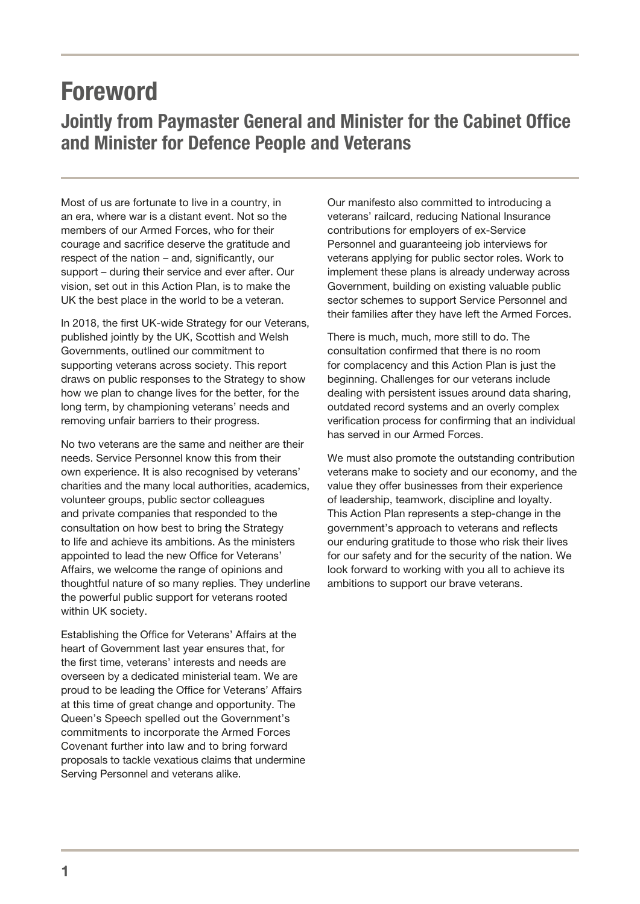# <span id="page-3-0"></span>Foreword

### Jointly from Paymaster General and Minister for the Cabinet Office and Minister for Defence People and Veterans

Most of us are fortunate to live in a country, in an era, where war is a distant event. Not so the members of our Armed Forces, who for their courage and sacrifice deserve the gratitude and respect of the nation – and, significantly, our support – during their service and ever after. Our vision, set out in this Action Plan, is to make the UK the best place in the world to be a veteran.

In 2018, the first UK-wide Strategy for our Veterans, published jointly by the UK, Scottish and Welsh Governments, outlined our commitment to supporting veterans across society. This report draws on public responses to the Strategy to show how we plan to change lives for the better, for the long term, by championing veterans' needs and removing unfair barriers to their progress.

No two veterans are the same and neither are their needs. Service Personnel know this from their own experience. It is also recognised by veterans' charities and the many local authorities, academics, volunteer groups, public sector colleagues and private companies that responded to the consultation on how best to bring the Strategy to life and achieve its ambitions. As the ministers appointed to lead the new Office for Veterans' Affairs, we welcome the range of opinions and thoughtful nature of so many replies. They underline the powerful public support for veterans rooted within UK society.

Establishing the Office for Veterans' Affairs at the heart of Government last year ensures that, for the first time, veterans' interests and needs are overseen by a dedicated ministerial team. We are proud to be leading the Office for Veterans' Affairs at this time of great change and opportunity. The Queen's Speech spelled out the Government's commitments to incorporate the Armed Forces Covenant further into law and to bring forward proposals to tackle vexatious claims that undermine Serving Personnel and veterans alike.

Our manifesto also committed to introducing a veterans' railcard, reducing National Insurance contributions for employers of ex-Service Personnel and guaranteeing job interviews for veterans applying for public sector roles. Work to implement these plans is already underway across Government, building on existing valuable public sector schemes to support Service Personnel and their families after they have left the Armed Forces.

There is much, much, more still to do. The consultation confirmed that there is no room for complacency and this Action Plan is just the beginning. Challenges for our veterans include dealing with persistent issues around data sharing, outdated record systems and an overly complex verification process for confirming that an individual has served in our Armed Forces.

We must also promote the outstanding contribution veterans make to society and our economy, and the value they offer businesses from their experience of leadership, teamwork, discipline and loyalty. This Action Plan represents a step-change in the government's approach to veterans and reflects our enduring gratitude to those who risk their lives for our safety and for the security of the nation. We look forward to working with you all to achieve its ambitions to support our brave veterans.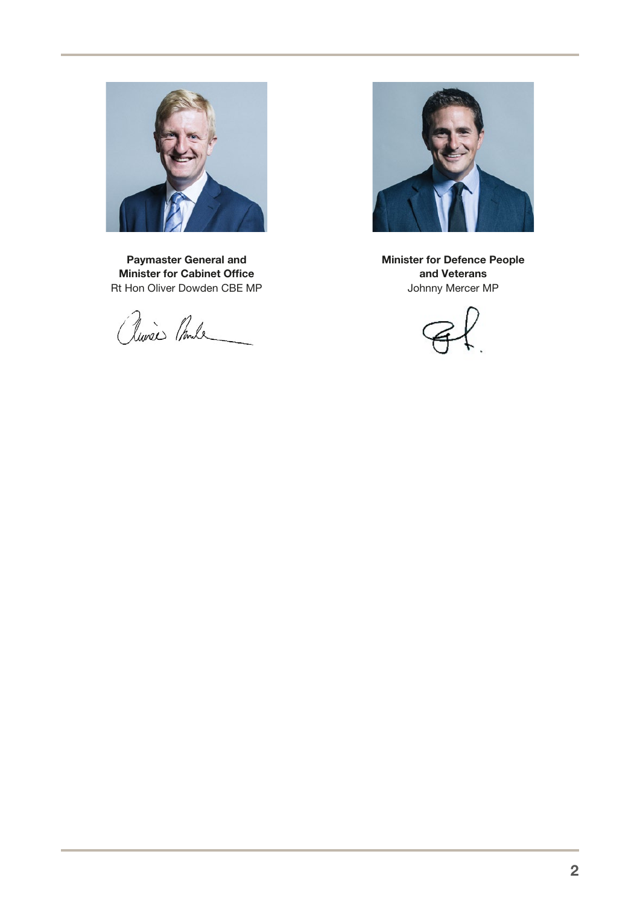

Paymaster General and Minister for Cabinet Office Rt Hon Oliver Dowden CBE MP

alunées Ponde



Minister for Defence People and Veterans Johnny Mercer MP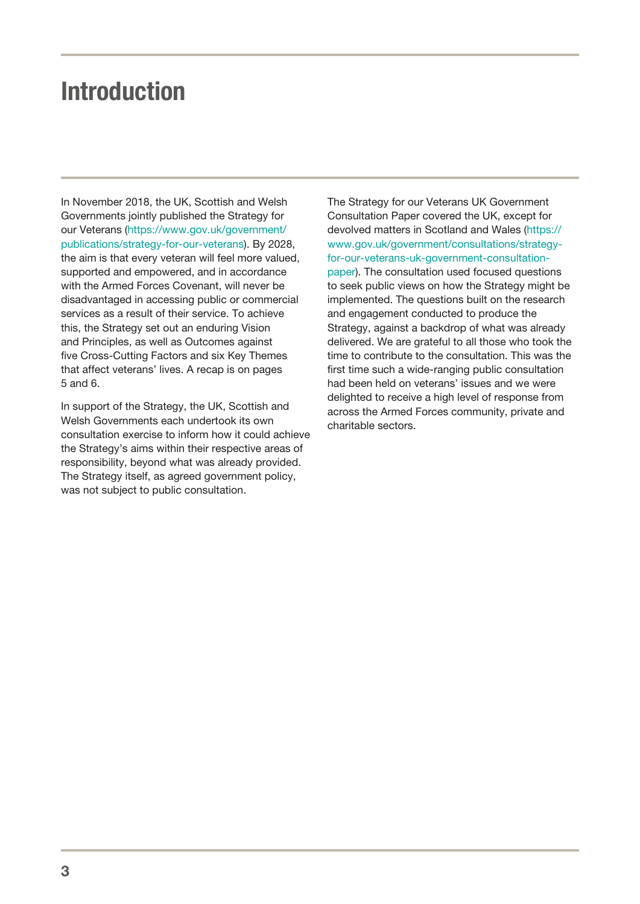# <span id="page-5-0"></span>Introduction

In November 2018, the UK, Scottish and Welsh Governments jointly published the Strategy for our Veterans ([https://www.gov.uk/government/](https://www.gov.uk/government/publications/strategy-for-our-veterans) [publications/strategy-for-our-veterans\)](https://www.gov.uk/government/publications/strategy-for-our-veterans). By 2028, the aim is that every veteran will feel more valued, supported and empowered, and in accordance with the Armed Forces Covenant, will never be disadvantaged in accessing public or commercial services as a result of their service. To achieve this, the Strategy set out an enduring Vision and Principles, as well as Outcomes against five Cross-Cutting Factors and six Key Themes that affect veterans' lives. A recap is on pages 5 and 6.

In support of the Strategy, the UK, Scottish and Welsh Governments each undertook its own consultation exercise to inform how it could achieve the Strategy's aims within their respective areas of responsibility, beyond what was already provided. The Strategy itself, as agreed government policy, was not subject to public consultation.

The Strategy for our Veterans UK Government Consultation Paper covered the UK, except for devolved matters in Scotland and Wales [\(https://](https://www.gov.uk/government/consultations/strategy-for-our-veterans-uk-government-consultation-paper) [www.gov.uk/government/consultations/strategy](https://www.gov.uk/government/consultations/strategy-for-our-veterans-uk-government-consultation-paper)[for-our-veterans-uk-government-consultation](https://www.gov.uk/government/consultations/strategy-for-our-veterans-uk-government-consultation-paper)[paper\)](https://www.gov.uk/government/consultations/strategy-for-our-veterans-uk-government-consultation-paper). The consultation used focused questions to seek public views on how the Strategy might be implemented. The questions built on the research and engagement conducted to produce the Strategy, against a backdrop of what was already delivered. We are grateful to all those who took the time to contribute to the consultation. This was the first time such a wide-ranging public consultation had been held on veterans' issues and we were delighted to receive a high level of response from across the Armed Forces community, private and charitable sectors.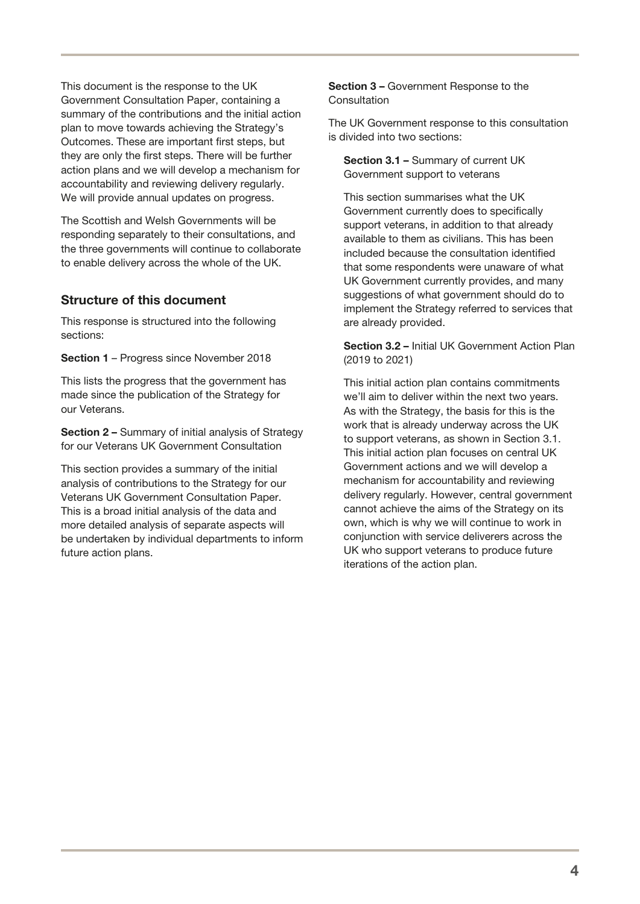This document is the response to the UK Government Consultation Paper, containing a summary of the contributions and the initial action plan to move towards achieving the Strategy's Outcomes. These are important first steps, but they are only the first steps. There will be further action plans and we will develop a mechanism for accountability and reviewing delivery regularly. We will provide annual updates on progress.

The Scottish and Welsh Governments will be responding separately to their consultations, and the three governments will continue to collaborate to enable delivery across the whole of the UK.

### Structure of this document

This response is structured into the following sections:

Section 1 – Progress since November 2018

This lists the progress that the government has made since the publication of the Strategy for our Veterans.

Section 2 – Summary of initial analysis of Strategy for our Veterans UK Government Consultation

This section provides a summary of the initial analysis of contributions to the Strategy for our Veterans UK Government Consultation Paper. This is a broad initial analysis of the data and more detailed analysis of separate aspects will be undertaken by individual departments to inform future action plans.

Section 3 – Government Response to the **Consultation** 

The UK Government response to this consultation is divided into two sections:

Section 3.1 – Summary of current UK Government support to veterans

This section summarises what the UK Government currently does to specifically support veterans, in addition to that already available to them as civilians. This has been included because the consultation identified that some respondents were unaware of what UK Government currently provides, and many suggestions of what government should do to implement the Strategy referred to services that are already provided.

Section 3.2 – Initial UK Government Action Plan (2019 to 2021)

This initial action plan contains commitments we'll aim to deliver within the next two years. As with the Strategy, the basis for this is the work that is already underway across the UK to support veterans, as shown in Section 3.1. This initial action plan focuses on central UK Government actions and we will develop a mechanism for accountability and reviewing delivery regularly. However, central government cannot achieve the aims of the Strategy on its own, which is why we will continue to work in conjunction with service deliverers across the UK who support veterans to produce future iterations of the action plan.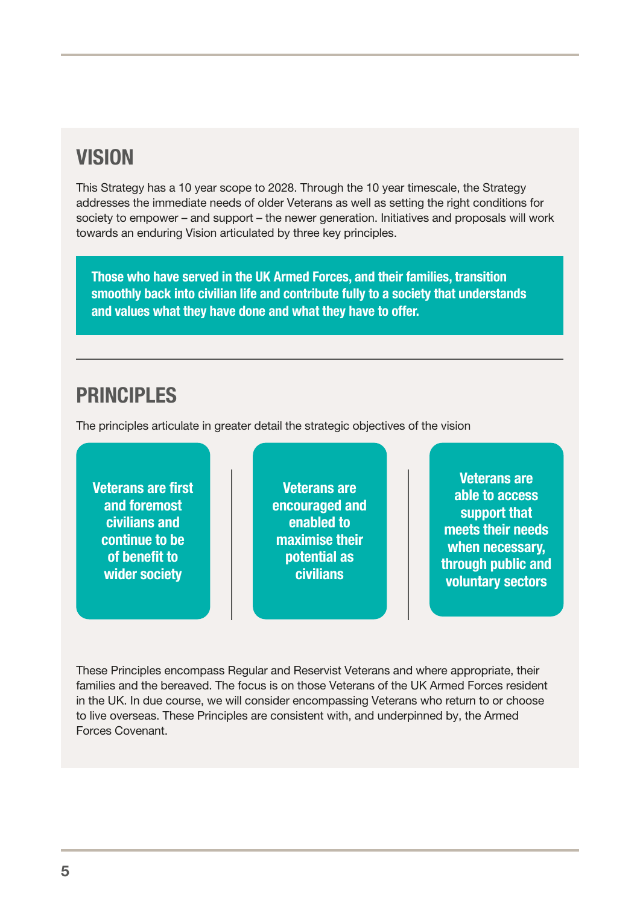### **VISION**

This Strategy has a 10 year scope to 2028. Through the 10 year timescale, the Strategy addresses the immediate needs of older Veterans as well as setting the right conditions for society to empower – and support – the newer generation. Initiatives and proposals will work towards an enduring Vision articulated by three key principles.

Those who have served in the UK Armed Forces, and their families, transition smoothly back into civilian life and contribute fully to a society that understands and values what they have done and what they have to offer.

### PRINCIPI FS

The principles articulate in greater detail the strategic objectives of the vision

Veterans are first and foremost civilians and continue to be of benefit to wider society

Veterans are encouraged and enabled to maximise their potential as civilians

Veterans are able to access support that meets their needs when necessary, through public and voluntary sectors

These Principles encompass Regular and Reservist Veterans and where appropriate, their families and the bereaved. The focus is on those Veterans of the UK Armed Forces resident in the UK. In due course, we will consider encompassing Veterans who return to or choose to live overseas. These Principles are consistent with, and underpinned by, the Armed Forces Covenant.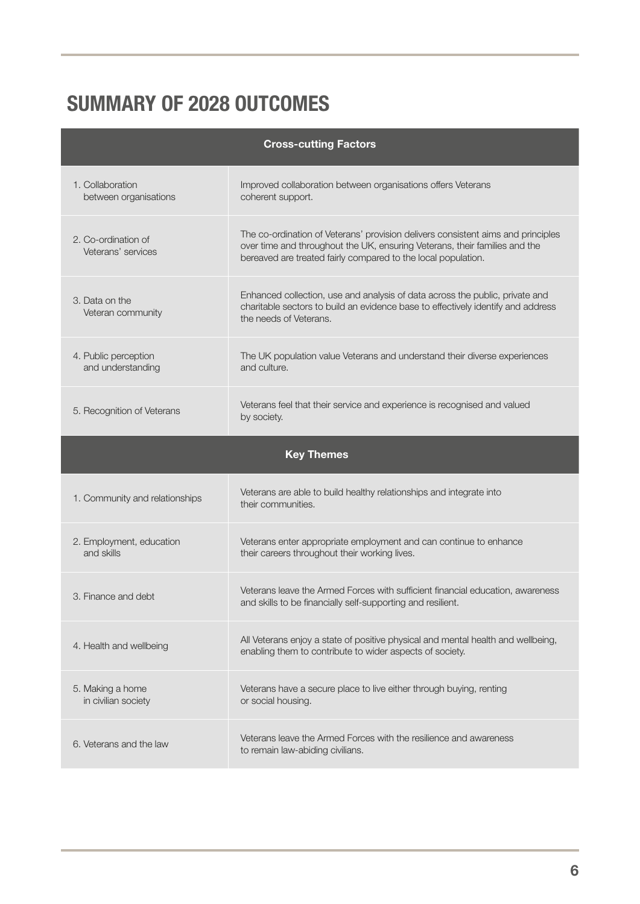# SUMMARY OF 2028 OUTCOMES

| <b>Cross-cutting Factors</b>              |                                                                                                                                                                                                                                 |  |  |  |  |
|-------------------------------------------|---------------------------------------------------------------------------------------------------------------------------------------------------------------------------------------------------------------------------------|--|--|--|--|
| 1. Collaboration<br>between organisations | Improved collaboration between organisations offers Veterans<br>coherent support.                                                                                                                                               |  |  |  |  |
| 2. Co-ordination of<br>Veterans' services | The co-ordination of Veterans' provision delivers consistent aims and principles<br>over time and throughout the UK, ensuring Veterans, their families and the<br>bereaved are treated fairly compared to the local population. |  |  |  |  |
| 3. Data on the<br>Veteran community       | Enhanced collection, use and analysis of data across the public, private and<br>charitable sectors to build an evidence base to effectively identify and address<br>the needs of Veterans.                                      |  |  |  |  |
| 4. Public perception<br>and understanding | The UK population value Veterans and understand their diverse experiences<br>and culture.                                                                                                                                       |  |  |  |  |
| 5. Recognition of Veterans                | Veterans feel that their service and experience is recognised and valued<br>by society.                                                                                                                                         |  |  |  |  |
|                                           | <b>Key Themes</b>                                                                                                                                                                                                               |  |  |  |  |
| 1. Community and relationships            | Veterans are able to build healthy relationships and integrate into<br>their communities.                                                                                                                                       |  |  |  |  |
| 2. Employment, education<br>and skills    | Veterans enter appropriate employment and can continue to enhance<br>their careers throughout their working lives.                                                                                                              |  |  |  |  |
| 3. Finance and debt                       | Veterans leave the Armed Forces with sufficient financial education, awareness<br>and skills to be financially self-supporting and resilient.                                                                                   |  |  |  |  |
| 4. Health and wellbeing                   | All Veterans enjoy a state of positive physical and mental health and wellbeing,<br>enabling them to contribute to wider aspects of society.                                                                                    |  |  |  |  |
| 5. Making a home<br>in civilian society   | Veterans have a secure place to live either through buying, renting<br>or social housing.                                                                                                                                       |  |  |  |  |
| 6. Veterans and the law                   | Veterans leave the Armed Forces with the resilience and awareness<br>to remain law-abiding civilians.                                                                                                                           |  |  |  |  |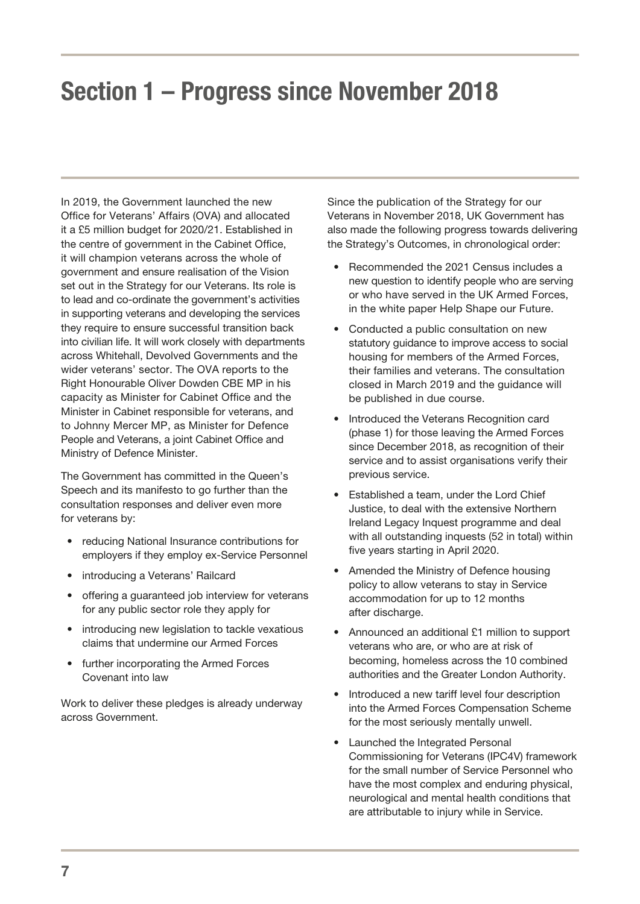# <span id="page-9-0"></span>Section 1 – Progress since November 2018

In 2019, the Government launched the new Office for Veterans' Affairs (OVA) and allocated it a £5 million budget for 2020/21. Established in the centre of government in the Cabinet Office, it will champion veterans across the whole of government and ensure realisation of the Vision set out in the Strategy for our Veterans. Its role is to lead and co-ordinate the government's activities in supporting veterans and developing the services they require to ensure successful transition back into civilian life. It will work closely with departments across Whitehall, Devolved Governments and the wider veterans' sector. The OVA reports to the Right Honourable Oliver Dowden CBE MP in his capacity as Minister for Cabinet Office and the Minister in Cabinet responsible for veterans, and to Johnny Mercer MP, as Minister for Defence People and Veterans, a joint Cabinet Office and Ministry of Defence Minister.

The Government has committed in the Queen's Speech and its manifesto to go further than the consultation responses and deliver even more for veterans by:

- reducing National Insurance contributions for employers if they employ ex-Service Personnel
- introducing a Veterans' Railcard
- offering a quaranteed job interview for veterans for any public sector role they apply for
- introducing new legislation to tackle vexatious claims that undermine our Armed Forces
- further incorporating the Armed Forces Covenant into law

Work to deliver these pledges is already underway across Government.

Since the publication of the Strategy for our Veterans in November 2018, UK Government has also made the following progress towards delivering the Strategy's Outcomes, in chronological order:

- Recommended the 2021 Census includes a new question to identify people who are serving or who have served in the UK Armed Forces, in the white paper Help Shape our Future.
- Conducted a public consultation on new statutory guidance to improve access to social housing for members of the Armed Forces, their families and veterans. The consultation closed in March 2019 and the guidance will be published in due course.
- Introduced the Veterans Recognition card (phase 1) for those leaving the Armed Forces since December 2018, as recognition of their service and to assist organisations verify their previous service.
- Established a team, under the Lord Chief Justice, to deal with the extensive Northern Ireland Legacy Inquest programme and deal with all outstanding inquests (52 in total) within five years starting in April 2020.
- Amended the Ministry of Defence housing policy to allow veterans to stay in Service accommodation for up to 12 months after discharge.
- Announced an additional £1 million to support veterans who are, or who are at risk of becoming, homeless across the 10 combined authorities and the Greater London Authority.
- Introduced a new tariff level four description into the Armed Forces Compensation Scheme for the most seriously mentally unwell.
- Launched the Integrated Personal Commissioning for Veterans (IPC4V) framework for the small number of Service Personnel who have the most complex and enduring physical, neurological and mental health conditions that are attributable to injury while in Service.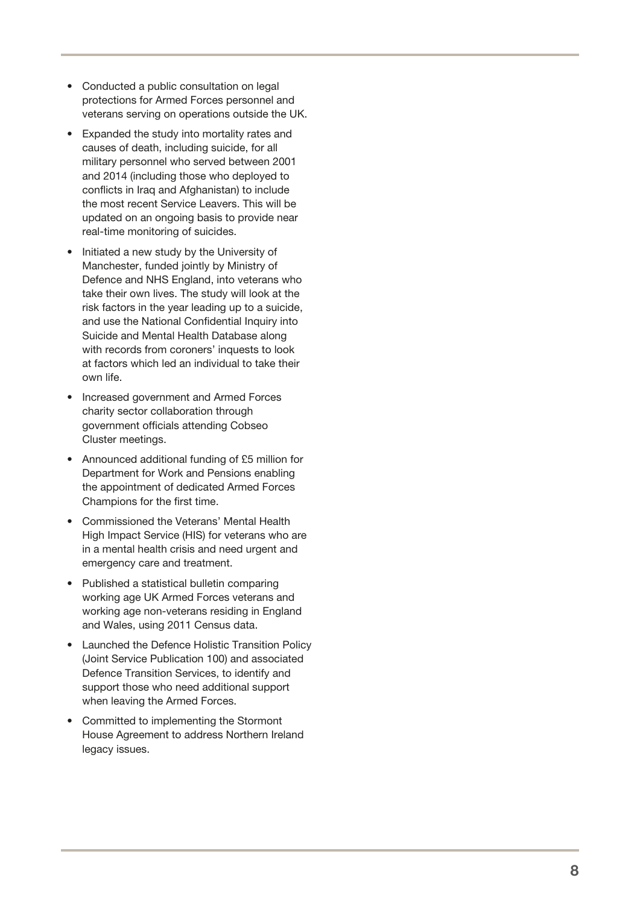- Conducted a public consultation on legal protections for Armed Forces personnel and veterans serving on operations outside the UK.
- Expanded the study into mortality rates and causes of death, including suicide, for all military personnel who served between 2001 and 2014 (including those who deployed to conflicts in Iraq and Afghanistan) to include the most recent Service Leavers. This will be updated on an ongoing basis to provide near real-time monitoring of suicides.
- Initiated a new study by the University of Manchester, funded jointly by Ministry of Defence and NHS England, into veterans who take their own lives. The study will look at the risk factors in the year leading up to a suicide, and use the National Confidential Inquiry into Suicide and Mental Health Database along with records from coroners' inquests to look at factors which led an individual to take their own life.
- Increased government and Armed Forces charity sector collaboration through government officials attending Cobseo Cluster meetings.
- Announced additional funding of £5 million for Department for Work and Pensions enabling the appointment of dedicated Armed Forces Champions for the first time.
- Commissioned the Veterans' Mental Health High Impact Service (HIS) for veterans who are in a mental health crisis and need urgent and emergency care and treatment.
- Published a statistical bulletin comparing working age UK Armed Forces veterans and working age non-veterans residing in England and Wales, using 2011 Census data.
- Launched the Defence Holistic Transition Policy (Joint Service Publication 100) and associated Defence Transition Services, to identify and support those who need additional support when leaving the Armed Forces.
- Committed to implementing the Stormont House Agreement to address Northern Ireland legacy issues.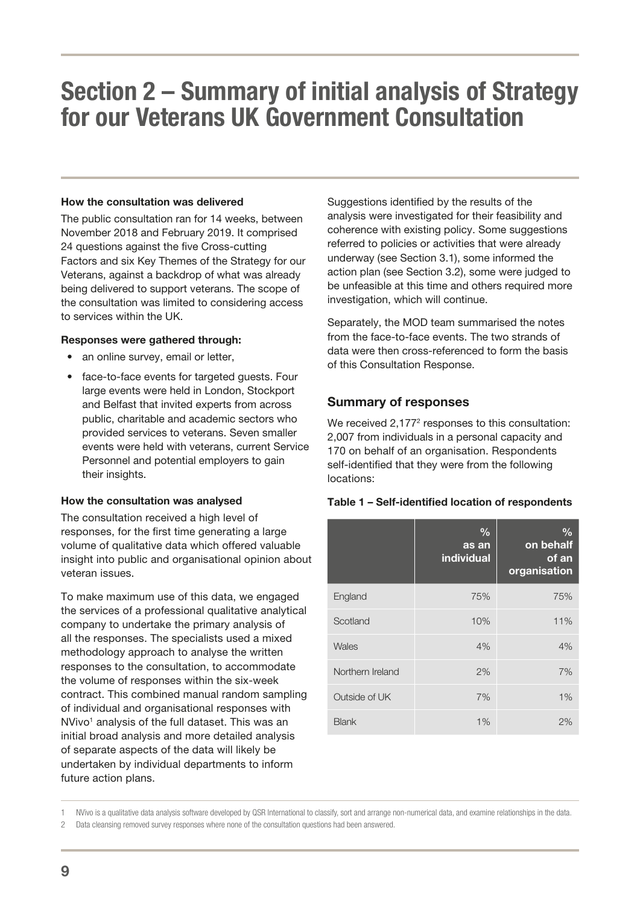# <span id="page-11-0"></span>Section 2 – Summary of initial analysis of Strategy for our Veterans UK Government Consultation

#### How the consultation was delivered

The public consultation ran for 14 weeks, between November 2018 and February 2019. It comprised 24 questions against the five Cross-cutting Factors and six Key Themes of the Strategy for our Veterans, against a backdrop of what was already being delivered to support veterans. The scope of the consultation was limited to considering access to services within the UK.

#### Responses were gathered through:

- an online survey, email or letter,
- face-to-face events for targeted quests. Four large events were held in London, Stockport and Belfast that invited experts from across public, charitable and academic sectors who provided services to veterans. Seven smaller events were held with veterans, current Service Personnel and potential employers to gain their insights.

#### How the consultation was analysed

The consultation received a high level of responses, for the first time generating a large volume of qualitative data which offered valuable insight into public and organisational opinion about veteran issues.

To make maximum use of this data, we engaged the services of a professional qualitative analytical company to undertake the primary analysis of all the responses. The specialists used a mixed methodology approach to analyse the written responses to the consultation, to accommodate the volume of responses within the six-week contract. This combined manual random sampling of individual and organisational responses with NVivo<sup>1</sup> analysis of the full dataset. This was an initial broad analysis and more detailed analysis of separate aspects of the data will likely be undertaken by individual departments to inform future action plans.

Suggestions identified by the results of the analysis were investigated for their feasibility and coherence with existing policy. Some suggestions referred to policies or activities that were already underway (see Section 3.1), some informed the action plan (see Section 3.2), some were judged to be unfeasible at this time and others required more investigation, which will continue.

Separately, the MOD team summarised the notes from the face-to-face events. The two strands of data were then cross-referenced to form the basis of this Consultation Response.

#### Summary of responses

We received 2,177<sup>2</sup> responses to this consultation: 2,007 from individuals in a personal capacity and 170 on behalf of an organisation. Respondents self-identified that they were from the following locations:

|  |  |  |  |  |  | Table 1 - Self-identified location of respondents |
|--|--|--|--|--|--|---------------------------------------------------|
|--|--|--|--|--|--|---------------------------------------------------|

|                  | $\frac{0}{0}$<br>as an<br>individual | $\frac{0}{0}$<br>on behalf<br>of an<br>organisation |
|------------------|--------------------------------------|-----------------------------------------------------|
| England          | 75%                                  | 75%                                                 |
| Scotland         | 10%                                  | 11%                                                 |
| Wales            | 4%                                   | 4%                                                  |
| Northern Ireland | 2%                                   | 7%                                                  |
| Outside of UK    | 7%                                   | $1\%$                                               |
| <b>Blank</b>     | 1%                                   | 2%                                                  |

1 NVivo is a qualitative data analysis software developed by QSR International to classify, sort and arrange non-numerical data, and examine relationships in the data.

2 Data cleansing removed survey responses where none of the consultation questions had been answered.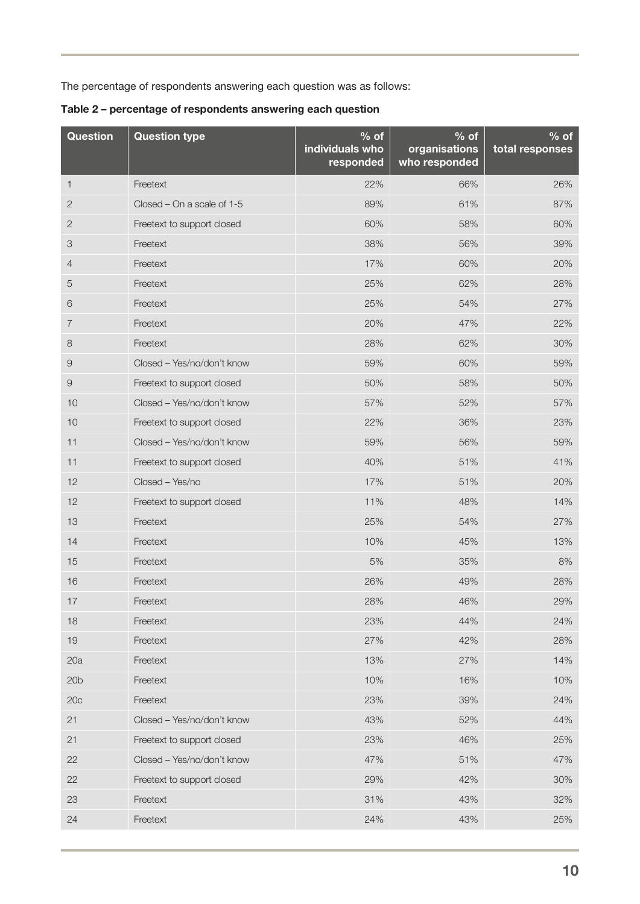The percentage of respondents answering each question was as follows:

Table 2 – percentage of respondents answering each question

| <b>Question</b> | <b>Question type</b>       | $%$ of<br>individuals who<br>responded | $%$ of<br>organisations<br>who responded | $%$ of<br>total responses |
|-----------------|----------------------------|----------------------------------------|------------------------------------------|---------------------------|
| 1               | Freetext                   | 22%                                    | 66%                                      | 26%                       |
| 2               | Closed - On a scale of 1-5 | 89%                                    | 61%                                      | 87%                       |
| 2               | Freetext to support closed | 60%                                    | 58%                                      | 60%                       |
| 3               | Freetext                   | 38%                                    | 56%                                      | 39%                       |
| 4               | Freetext                   | 17%                                    | 60%                                      | 20%                       |
| 5               | Freetext                   | 25%                                    | 62%                                      | 28%                       |
| 6               | Freetext                   | 25%                                    | 54%                                      | 27%                       |
| 7               | Freetext                   | 20%                                    | 47%                                      | 22%                       |
| $\,8\,$         | Freetext                   | 28%                                    | 62%                                      | 30%                       |
| 9               | Closed - Yes/no/don't know | 59%                                    | 60%                                      | 59%                       |
| $\Theta$        | Freetext to support closed | 50%                                    | 58%                                      | 50%                       |
| 10              | Closed - Yes/no/don't know | 57%                                    | 52%                                      | 57%                       |
| 10              | Freetext to support closed | 22%                                    | 36%                                      | 23%                       |
| 11              | Closed - Yes/no/don't know | 59%                                    | 56%                                      | 59%                       |
| 11              | Freetext to support closed | 40%                                    | 51%                                      | 41%                       |
| 12              | Closed - Yes/no            | 17%                                    | 51%                                      | 20%                       |
| 12              | Freetext to support closed | 11%                                    | 48%                                      | 14%                       |
| 13              | Freetext                   | 25%                                    | 54%                                      | 27%                       |
| 14              | Freetext                   | 10%                                    | 45%                                      | 13%                       |
| 15              | Freetext                   | 5%                                     | 35%                                      | 8%                        |
| 16              | Freetext                   | 26%                                    | 49%                                      | 28%                       |
| 17              | Freetext                   | 28%                                    | 46%                                      | 29%                       |
| 18              | Freetext                   | 23%                                    | 44%                                      | 24%                       |
| 19              | Freetext                   | 27%                                    | 42%                                      | 28%                       |
| 20a             | Freetext                   | 13%                                    | 27%                                      | 14%                       |
| 20 <sub>b</sub> | Freetext                   | 10%                                    | 16%                                      | 10%                       |
| 20c             | Freetext                   | 23%                                    | 39%                                      | 24%                       |
| 21              | Closed - Yes/no/don't know | 43%                                    | 52%                                      | 44%                       |
| 21              | Freetext to support closed | 23%                                    | 46%                                      | 25%                       |
| 22              | Closed - Yes/no/don't know | 47%                                    | 51%                                      | 47%                       |
| 22              | Freetext to support closed | 29%                                    | 42%                                      | 30%                       |
| 23              | Freetext                   | 31%                                    | 43%                                      | 32%                       |
| 24              | Freetext                   | 24%                                    | 43%                                      | 25%                       |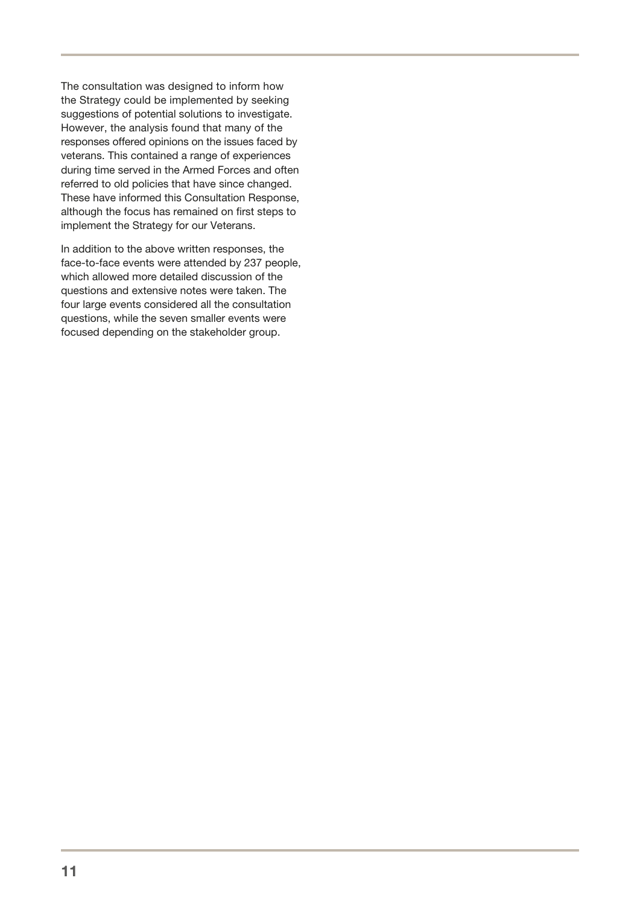The consultation was designed to inform how the Strategy could be implemented by seeking suggestions of potential solutions to investigate. However, the analysis found that many of the responses offered opinions on the issues faced by veterans. This contained a range of experiences during time served in the Armed Forces and often referred to old policies that have since changed. These have informed this Consultation Response, although the focus has remained on first steps to implement the Strategy for our Veterans.

In addition to the above written responses, the face-to-face events were attended by 237 people, which allowed more detailed discussion of the questions and extensive notes were taken. The four large events considered all the consultation questions, while the seven smaller events were focused depending on the stakeholder group.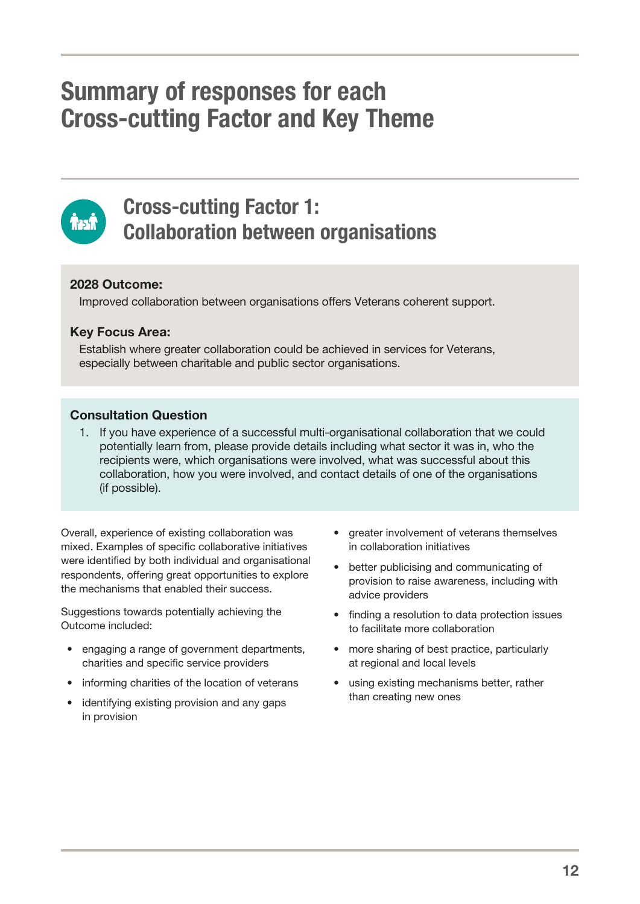# <span id="page-14-0"></span>Summary of responses for each Cross‑cutting Factor and Key Theme



### Cross-cutting Factor 1: Collaboration between organisations

### 2028 Outcome:

Improved collaboration between organisations offers Veterans coherent support.

### Key Focus Area:

Establish where greater collaboration could be achieved in services for Veterans, especially between charitable and public sector organisations.

### Consultation Question

1. If you have experience of a successful multi-organisational collaboration that we could potentially learn from, please provide details including what sector it was in, who the recipients were, which organisations were involved, what was successful about this collaboration, how you were involved, and contact details of one of the organisations (if possible).

Overall, experience of existing collaboration was mixed. Examples of specific collaborative initiatives were identified by both individual and organisational respondents, offering great opportunities to explore the mechanisms that enabled their success.

Suggestions towards potentially achieving the Outcome included:

- engaging a range of government departments, charities and specific service providers
- informing charities of the location of veterans
- identifying existing provision and any gaps in provision
- greater involvement of veterans themselves in collaboration initiatives
- better publicising and communicating of provision to raise awareness, including with advice providers
- finding a resolution to data protection issues to facilitate more collaboration
- more sharing of best practice, particularly at regional and local levels
- using existing mechanisms better, rather than creating new ones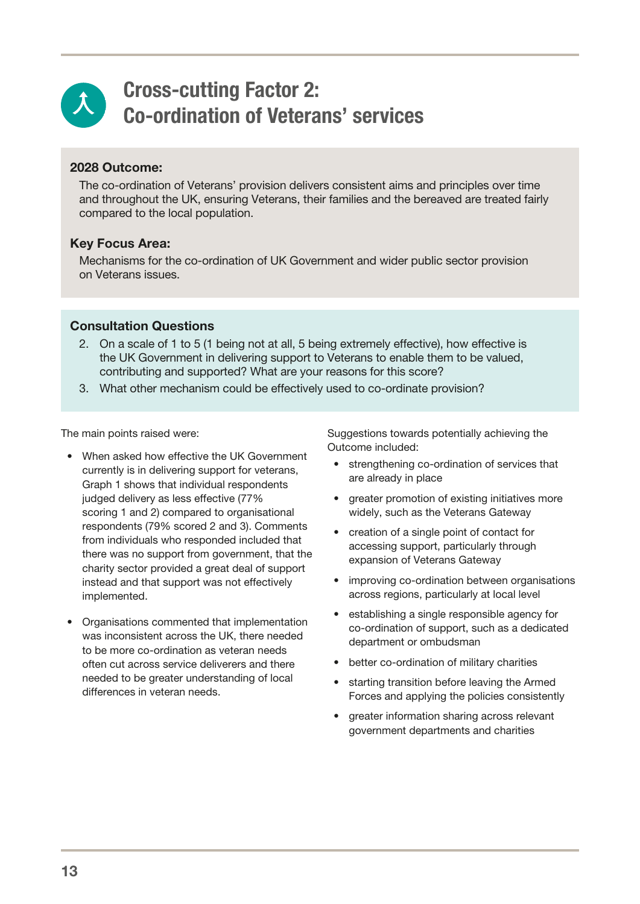<span id="page-15-0"></span>

### Cross-cutting Factor 2: Co-ordination of Veterans' services

### 2028 Outcome:

The co-ordination of Veterans' provision delivers consistent aims and principles over time and throughout the UK, ensuring Veterans, their families and the bereaved are treated fairly compared to the local population.

### Key Focus Area:

Mechanisms for the co-ordination of UK Government and wider public sector provision on Veterans issues.

### Consultation Questions

- 2. On a scale of 1 to 5 (1 being not at all, 5 being extremely effective), how effective is the UK Government in delivering support to Veterans to enable them to be valued, contributing and supported? What are your reasons for this score?
- 3. What other mechanism could be effectively used to co-ordinate provision?

The main points raised were:

- When asked how effective the UK Government currently is in delivering support for veterans, Graph 1 shows that individual respondents judged delivery as less effective (77% scoring 1 and 2) compared to organisational respondents (79% scored 2 and 3). Comments from individuals who responded included that there was no support from government, that the charity sector provided a great deal of support instead and that support was not effectively implemented.
- Organisations commented that implementation was inconsistent across the UK, there needed to be more co-ordination as veteran needs often cut across service deliverers and there needed to be greater understanding of local differences in veteran needs.

Suggestions towards potentially achieving the Outcome included:

- strengthening co-ordination of services that are already in place
- greater promotion of existing initiatives more widely, such as the Veterans Gateway
- creation of a single point of contact for accessing support, particularly through expansion of Veterans Gateway
- improving co-ordination between organisations across regions, particularly at local level
- establishing a single responsible agency for co-ordination of support, such as a dedicated department or ombudsman
- better co-ordination of military charities
- starting transition before leaving the Armed Forces and applying the policies consistently
- greater information sharing across relevant government departments and charities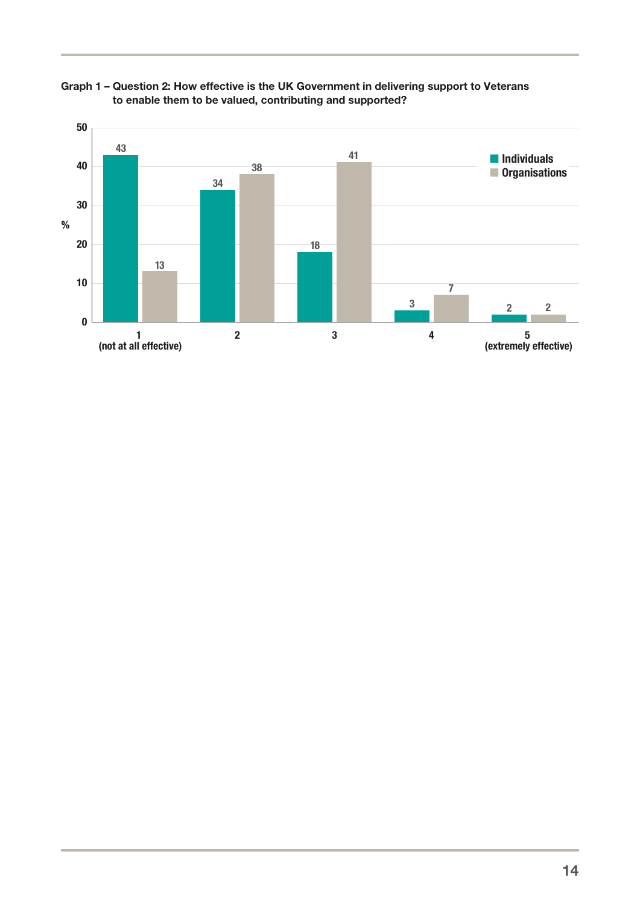

Graph 1 – Question 2: How effective is the UK Government in delivering support to Veterans to enable them to be valued, contributing and supported?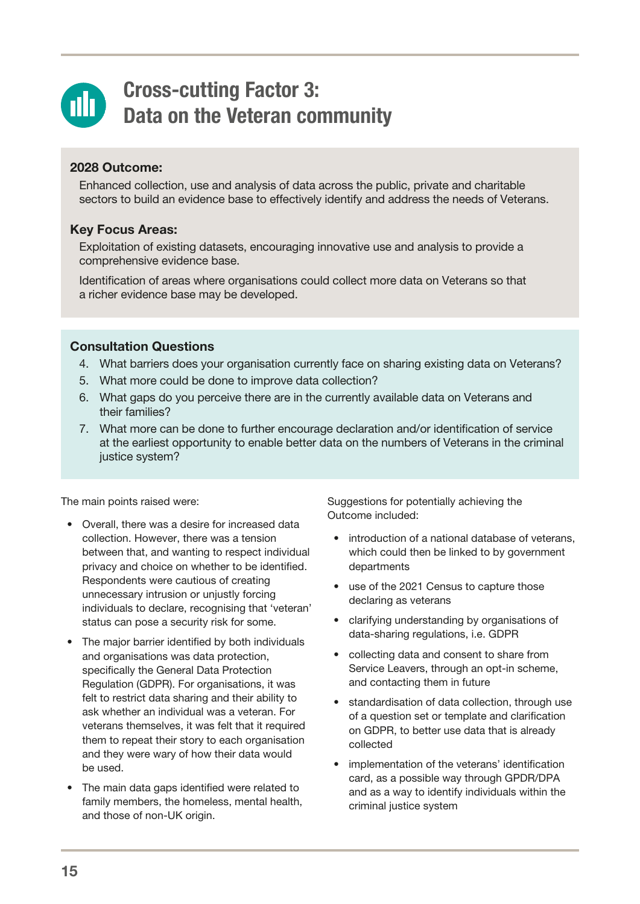<span id="page-17-0"></span>

### Cross-cutting Factor 3: Data on the Veteran community

### 2028 Outcome:

Enhanced collection, use and analysis of data across the public, private and charitable sectors to build an evidence base to effectively identify and address the needs of Veterans.

### Key Focus Areas:

Exploitation of existing datasets, encouraging innovative use and analysis to provide a comprehensive evidence base.

Identification of areas where organisations could collect more data on Veterans so that a richer evidence base may be developed.

### Consultation Questions

- 4. What barriers does your organisation currently face on sharing existing data on Veterans?
- 5. What more could be done to improve data collection?
- 6. What gaps do you perceive there are in the currently available data on Veterans and their families?
- 7. What more can be done to further encourage declaration and/or identification of service at the earliest opportunity to enable better data on the numbers of Veterans in the criminal justice system?

The main points raised were:

- Overall, there was a desire for increased data collection. However, there was a tension between that, and wanting to respect individual privacy and choice on whether to be identified. Respondents were cautious of creating unnecessary intrusion or unjustly forcing individuals to declare, recognising that 'veteran' status can pose a security risk for some.
- The major barrier identified by both individuals and organisations was data protection, specifically the General Data Protection Regulation (GDPR). For organisations, it was felt to restrict data sharing and their ability to ask whether an individual was a veteran. For veterans themselves, it was felt that it required them to repeat their story to each organisation and they were wary of how their data would be used.
- The main data gaps identified were related to family members, the homeless, mental health, and those of non-UK origin.

Suggestions for potentially achieving the Outcome included:

- introduction of a national database of veterans, which could then be linked to by government departments
- use of the 2021 Census to capture those declaring as veterans
- clarifying understanding by organisations of data-sharing regulations, i.e. GDPR
- collecting data and consent to share from Service Leavers, through an opt-in scheme, and contacting them in future
- standardisation of data collection, through use of a question set or template and clarification on GDPR, to better use data that is already collected
- implementation of the veterans' identification card, as a possible way through GPDR/DPA and as a way to identify individuals within the criminal justice system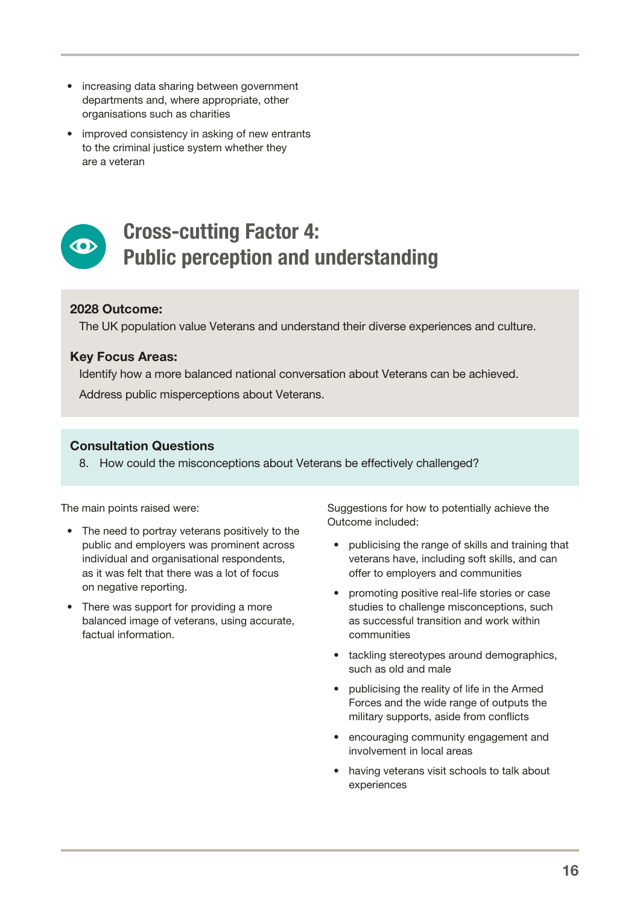- <span id="page-18-0"></span>• increasing data sharing between government departments and, where appropriate, other organisations such as charities
- improved consistency in asking of new entrants to the criminal justice system whether they are a veteran



### Cross-cutting Factor 4: Public perception and understanding

### 2028 Outcome:

The UK population value Veterans and understand their diverse experiences and culture.

### Key Focus Areas:

Identify how a more balanced national conversation about Veterans can be achieved. Address public misperceptions about Veterans.

### Consultation Questions

8. How could the misconceptions about Veterans be effectively challenged?

The main points raised were:

- The need to portray veterans positively to the public and employers was prominent across individual and organisational respondents, as it was felt that there was a lot of focus on negative reporting.
- There was support for providing a more balanced image of veterans, using accurate, factual information.

Suggestions for how to potentially achieve the Outcome included:

- publicising the range of skills and training that veterans have, including soft skills, and can offer to employers and communities
- promoting positive real-life stories or case studies to challenge misconceptions, such as successful transition and work within communities
- tackling stereotypes around demographics, such as old and male
- publicising the reality of life in the Armed Forces and the wide range of outputs the military supports, aside from conflicts
- encouraging community engagement and involvement in local areas
- having veterans visit schools to talk about experiences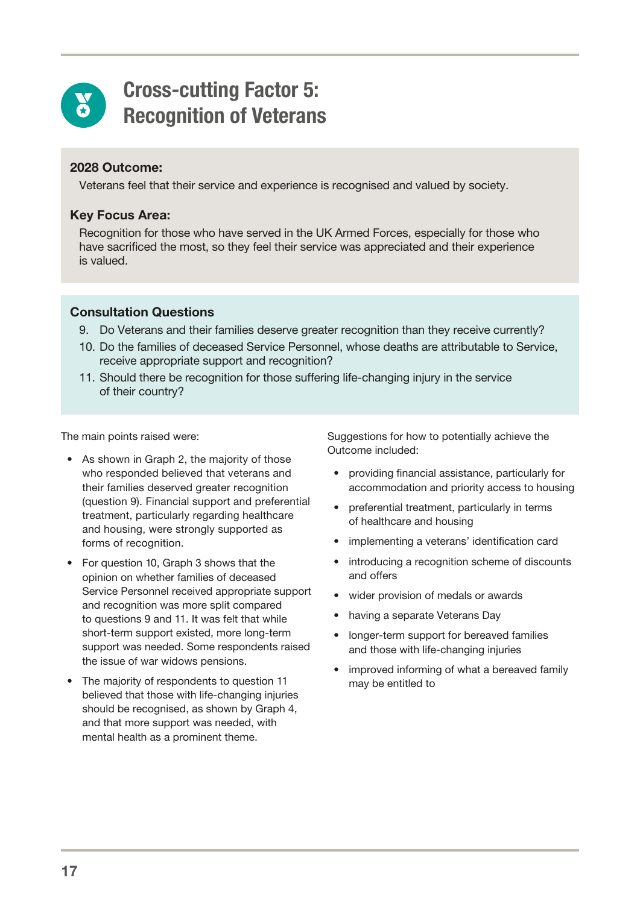<span id="page-19-0"></span>

### Cross-cutting Factor 5: Recognition of Veterans

### 2028 Outcome:

Veterans feel that their service and experience is recognised and valued by society.

### Key Focus Area:

Recognition for those who have served in the UK Armed Forces, especially for those who have sacrificed the most, so they feel their service was appreciated and their experience is valued.

### Consultation Questions

- 9. Do Veterans and their families deserve greater recognition than they receive currently?
- 10. Do the families of deceased Service Personnel, whose deaths are attributable to Service, receive appropriate support and recognition?
- 11. Should there be recognition for those suffering life-changing injury in the service of their country?

The main points raised were:

- As shown in Graph 2, the majority of those who responded believed that veterans and their families deserved greater recognition (question 9). Financial support and preferential treatment, particularly regarding healthcare and housing, were strongly supported as forms of recognition.
- For question 10, Graph 3 shows that the opinion on whether families of deceased Service Personnel received appropriate support and recognition was more split compared to questions 9 and 11. It was felt that while short-term support existed, more long-term support was needed. Some respondents raised the issue of war widows pensions.
- The majority of respondents to question 11 believed that those with life-changing injuries should be recognised, as shown by Graph 4, and that more support was needed, with mental health as a prominent theme.

Suggestions for how to potentially achieve the Outcome included:

- providing financial assistance, particularly for accommodation and priority access to housing
- preferential treatment, particularly in terms of healthcare and housing
- implementing a veterans' identification card
- introducing a recognition scheme of discounts and offers
- wider provision of medals or awards
- having a separate Veterans Day
- longer-term support for bereaved families and those with life-changing injuries
- improved informing of what a bereaved family may be entitled to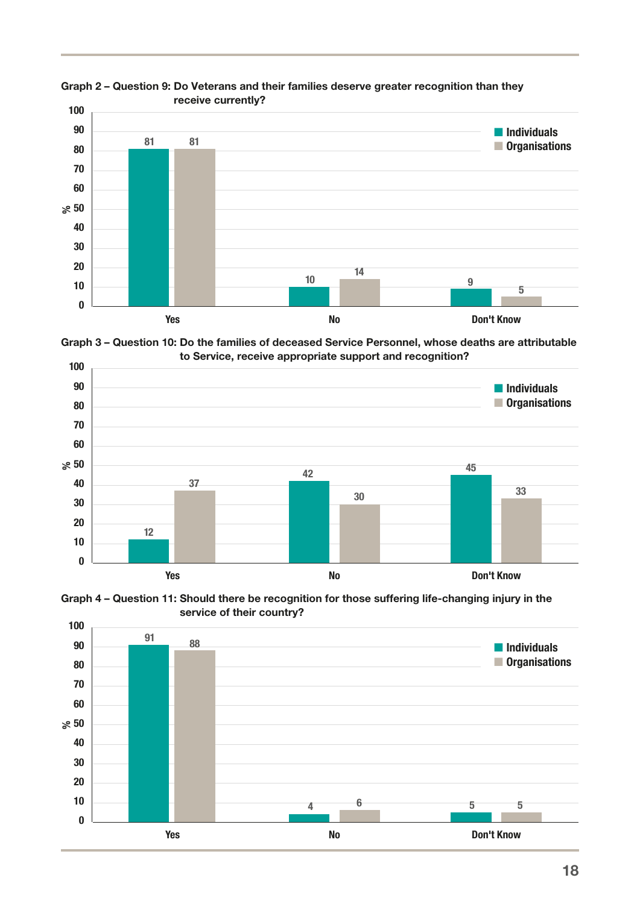

Graph 2 – Question 9: Do Veterans and their families deserve greater recognition than they receive currently?

Graph 3 – Question 10: Do the families of deceased Service Personnel, whose deaths are attributable to Service, receive appropriate support and recognition?



Graph 4 – Question 11: Should there be recognition for those suffering life-changing injury in the service of their country?

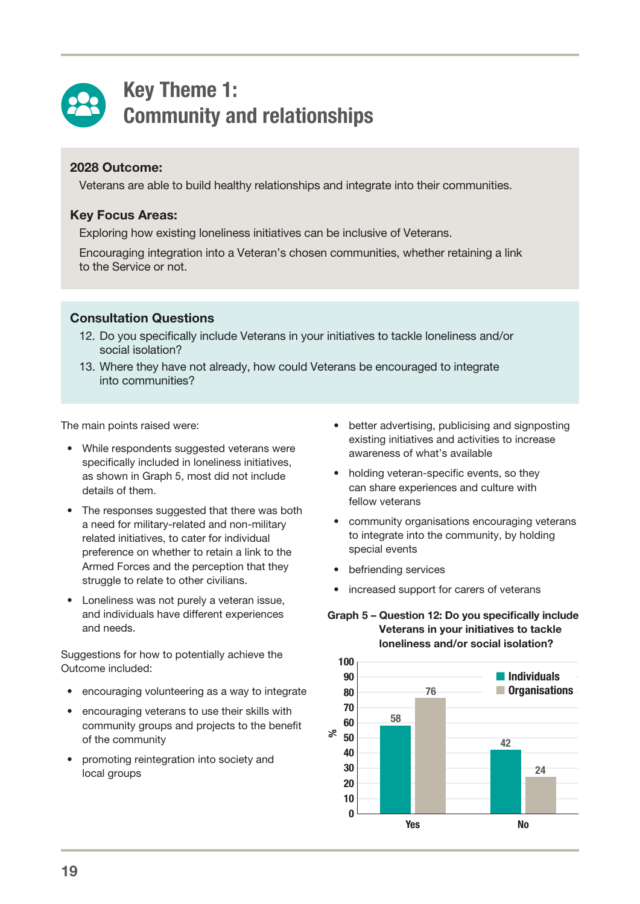<span id="page-21-0"></span>

### Key Theme 1: Community and relationships

### 2028 Outcome:

Veterans are able to build healthy relationships and integrate into their communities.

### Key Focus Areas:

Exploring how existing loneliness initiatives can be inclusive of Veterans.

Encouraging integration into a Veteran's chosen communities, whether retaining a link to the Service or not.

#### Consultation Questions

- 12. Do you specifically include Veterans in your initiatives to tackle loneliness and/or social isolation?
- 13. Where they have not already, how could Veterans be encouraged to integrate into communities?

The main points raised were:

- While respondents suggested veterans were specifically included in loneliness initiatives, as shown in Graph 5, most did not include details of them.
- The responses suggested that there was both a need for military-related and non-military related initiatives, to cater for individual preference on whether to retain a link to the Armed Forces and the perception that they struggle to relate to other civilians.
- Loneliness was not purely a veteran issue, and individuals have different experiences and needs.

Suggestions for how to potentially achieve the Outcome included:

- encouraging volunteering as a way to integrate
- encouraging veterans to use their skills with community groups and projects to the benefit of the community
- promoting reintegration into society and local groups
- better advertising, publicising and signposting existing initiatives and activities to increase awareness of what's available
- holding veteran-specific events, so they can share experiences and culture with fellow veterans
- community organisations encouraging veterans to integrate into the community, by holding special events
- befriending services
- increased support for carers of veterans

#### Graph 5 – Question 12: Do you specifically include Veterans in your initiatives to tackle loneliness and/or social isolation?

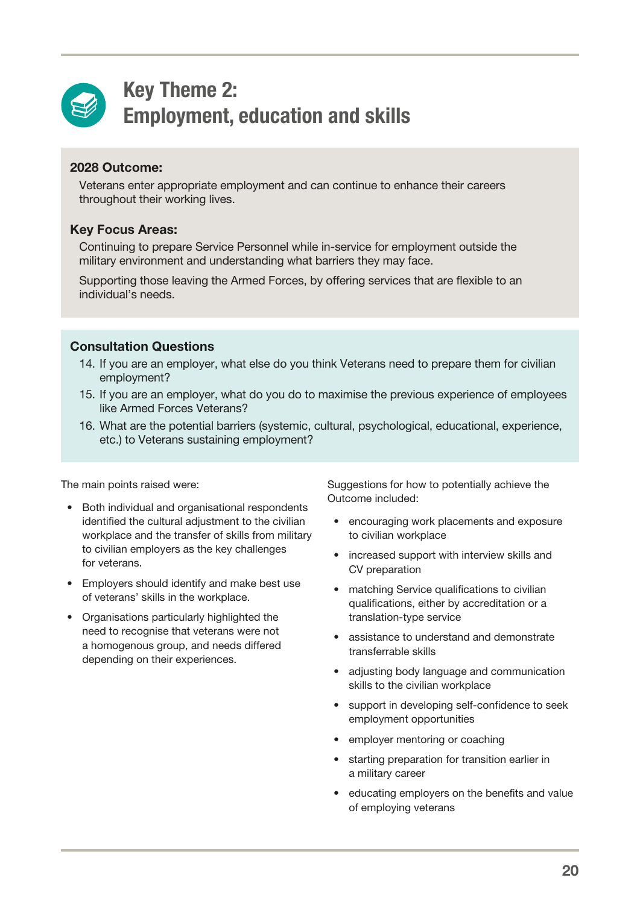<span id="page-22-0"></span>

### Key Theme 2: Employment, education and skills

### 2028 Outcome:

Veterans enter appropriate employment and can continue to enhance their careers throughout their working lives.

### Key Focus Areas:

Continuing to prepare Service Personnel while in-service for employment outside the military environment and understanding what barriers they may face.

Supporting those leaving the Armed Forces, by offering services that are flexible to an individual's needs.

### Consultation Questions

- 14. If you are an employer, what else do you think Veterans need to prepare them for civilian employment?
- 15. If you are an employer, what do you do to maximise the previous experience of employees like Armed Forces Veterans?
- 16. What are the potential barriers (systemic, cultural, psychological, educational, experience, etc.) to Veterans sustaining employment?

The main points raised were:

- Both individual and organisational respondents identified the cultural adjustment to the civilian workplace and the transfer of skills from military to civilian employers as the key challenges for veterans.
- Employers should identify and make best use of veterans' skills in the workplace.
- Organisations particularly highlighted the need to recognise that veterans were not a homogenous group, and needs differed depending on their experiences.

Suggestions for how to potentially achieve the Outcome included:

- encouraging work placements and exposure to civilian workplace
- increased support with interview skills and CV preparation
- matching Service qualifications to civilian qualifications, either by accreditation or a translation-type service
- assistance to understand and demonstrate transferrable skills
- adjusting body language and communication skills to the civilian workplace
- support in developing self-confidence to seek employment opportunities
- employer mentoring or coaching
- starting preparation for transition earlier in a military career
- educating employers on the benefits and value of employing veterans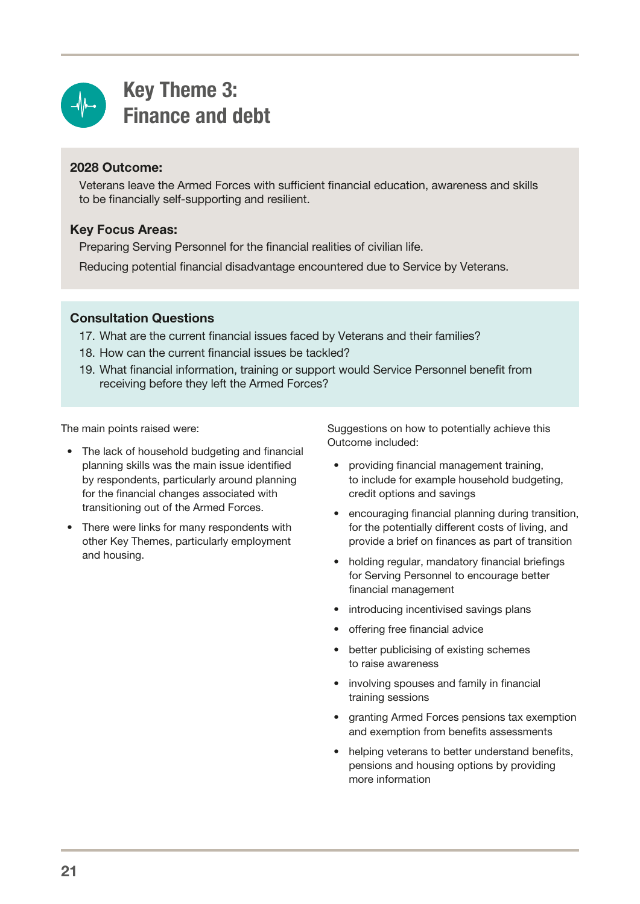<span id="page-23-0"></span>

# Key Theme 3: Finance and debt

### 2028 Outcome:

Veterans leave the Armed Forces with sufficient financial education, awareness and skills to be financially self-supporting and resilient.

### Key Focus Areas:

Preparing Serving Personnel for the financial realities of civilian life.

Reducing potential financial disadvantage encountered due to Service by Veterans.

### Consultation Questions

- 17. What are the current financial issues faced by Veterans and their families?
- 18. How can the current financial issues be tackled?
- 19. What financial information, training or support would Service Personnel benefit from receiving before they left the Armed Forces?

The main points raised were:

- The lack of household budgeting and financial planning skills was the main issue identified by respondents, particularly around planning for the financial changes associated with transitioning out of the Armed Forces.
- There were links for many respondents with other Key Themes, particularly employment and housing.

Suggestions on how to potentially achieve this Outcome included:

- providing financial management training, to include for example household budgeting, credit options and savings
- encouraging financial planning during transition, for the potentially different costs of living, and provide a brief on finances as part of transition
- holding regular, mandatory financial briefings for Serving Personnel to encourage better financial management
- introducing incentivised savings plans
- offering free financial advice
- better publicising of existing schemes to raise awareness
- involving spouses and family in financial training sessions
- granting Armed Forces pensions tax exemption and exemption from benefits assessments
- helping veterans to better understand benefits, pensions and housing options by providing more information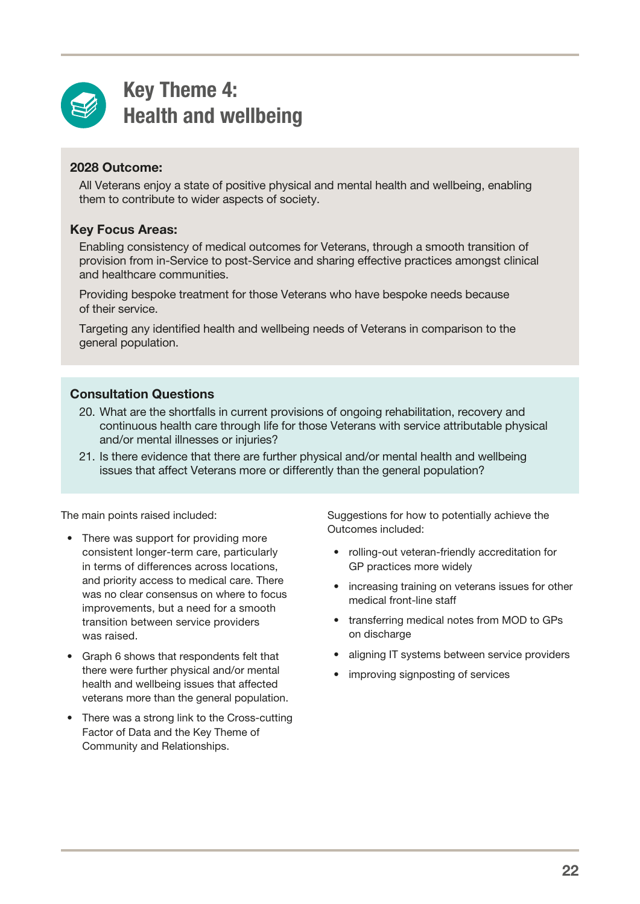<span id="page-24-0"></span>

### Key Theme 4: Health and wellbeing

### 2028 Outcome:

All Veterans enjoy a state of positive physical and mental health and wellbeing, enabling them to contribute to wider aspects of society.

### Key Focus Areas:

Enabling consistency of medical outcomes for Veterans, through a smooth transition of provision from in-Service to post-Service and sharing effective practices amongst clinical and healthcare communities.

Providing bespoke treatment for those Veterans who have bespoke needs because of their service.

Targeting any identified health and wellbeing needs of Veterans in comparison to the general population.

### Consultation Questions

- 20. What are the shortfalls in current provisions of ongoing rehabilitation, recovery and continuous health care through life for those Veterans with service attributable physical and/or mental illnesses or injuries?
- 21. Is there evidence that there are further physical and/or mental health and wellbeing issues that affect Veterans more or differently than the general population?

The main points raised included:

- There was support for providing more consistent longer-term care, particularly in terms of differences across locations, and priority access to medical care. There was no clear consensus on where to focus improvements, but a need for a smooth transition between service providers was raised.
- Graph 6 shows that respondents felt that there were further physical and/or mental health and wellbeing issues that affected veterans more than the general population.
- There was a strong link to the Cross-cutting Factor of Data and the Key Theme of Community and Relationships.

Suggestions for how to potentially achieve the Outcomes included:

- rolling-out veteran-friendly accreditation for GP practices more widely
- increasing training on veterans issues for other medical front-line staff
- transferring medical notes from MOD to GPs on discharge
- aligning IT systems between service providers
- improving signposting of services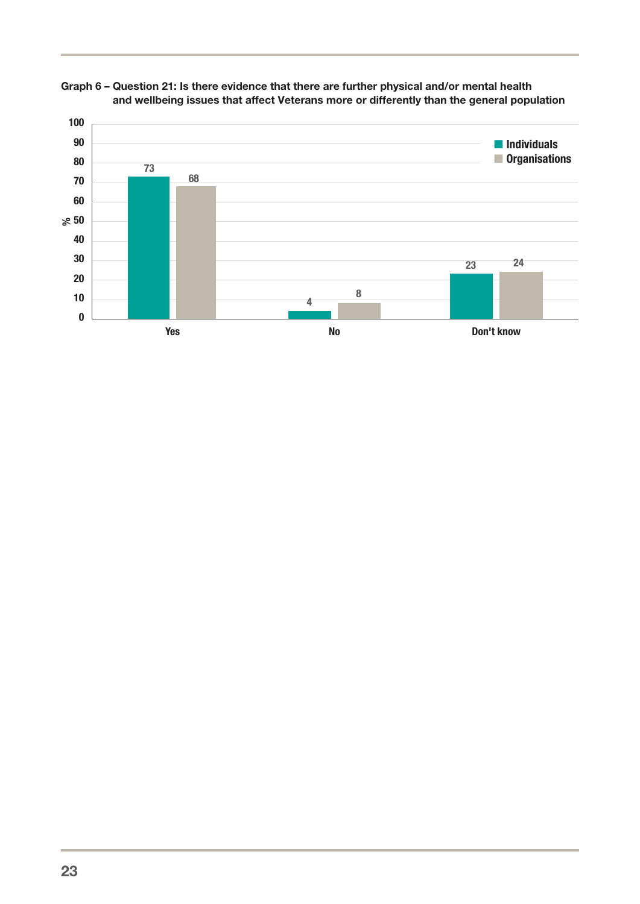

#### Graph 6 – Question 21: Is there evidence that there are further physical and/or mental health and wellbeing issues that affect Veterans more or differently than the general population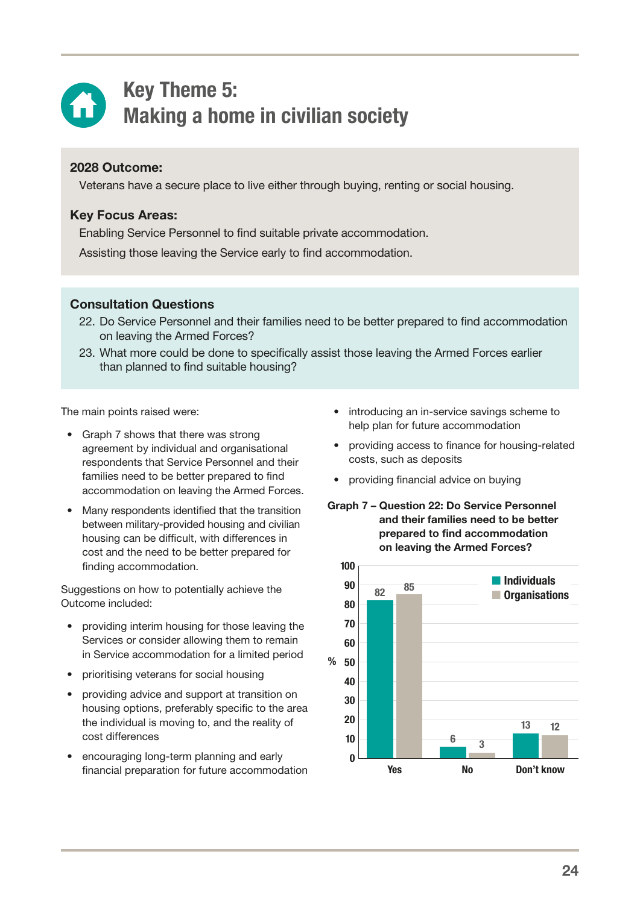<span id="page-26-0"></span>

### Key Theme 5: Making a home in civilian society

### 2028 Outcome:

Veterans have a secure place to live either through buying, renting or social housing.

### Key Focus Areas:

Enabling Service Personnel to find suitable private accommodation.

Assisting those leaving the Service early to find accommodation.

### Consultation Questions

- 22. Do Service Personnel and their families need to be better prepared to find accommodation on leaving the Armed Forces?
- 23. What more could be done to specifically assist those leaving the Armed Forces earlier than planned to find suitable housing?

The main points raised were:

- Graph 7 shows that there was strong agreement by individual and organisational respondents that Service Personnel and their families need to be better prepared to find accommodation on leaving the Armed Forces.
- Many respondents identified that the transition between military-provided housing and civilian housing can be difficult, with differences in cost and the need to be better prepared for finding accommodation.

Suggestions on how to potentially achieve the Outcome included:

- providing interim housing for those leaving the Services or consider allowing them to remain in Service accommodation for a limited period
- prioritising veterans for social housing
- providing advice and support at transition on housing options, preferably specific to the area the individual is moving to, and the reality of cost differences
- encouraging long-term planning and early financial preparation for future accommodation
- introducing an in-service savings scheme to help plan for future accommodation
- providing access to finance for housing-related costs, such as deposits
- providing financial advice on buying
- Graph 7 Question 22: Do Service Personnel and their families need to be better prepared to find accommodation on leaving the Armed Forces?

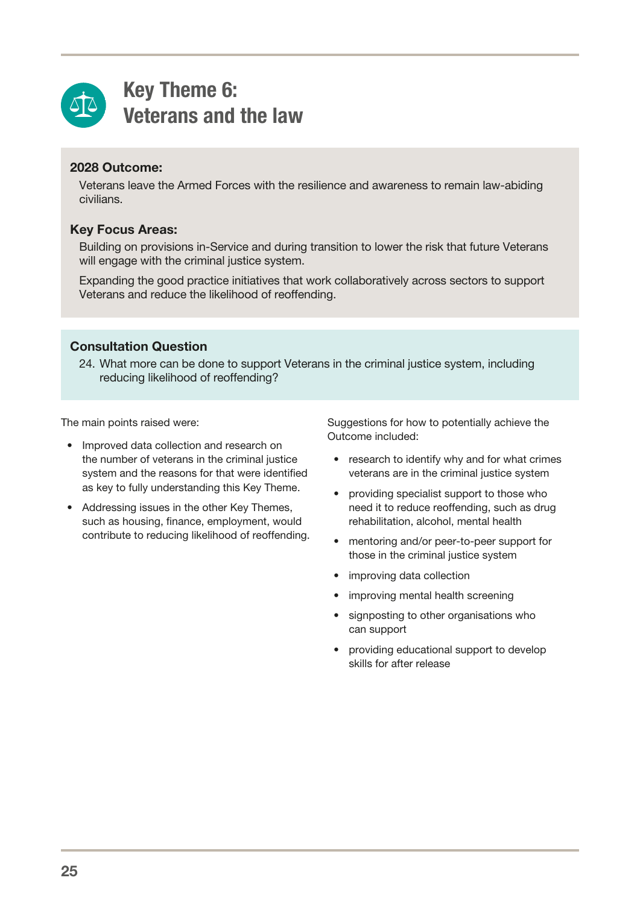<span id="page-27-0"></span>

### Key Theme 6: Veterans and the law

### 2028 Outcome:

Veterans leave the Armed Forces with the resilience and awareness to remain law-abiding civilians.

### Key Focus Areas:

Building on provisions in-Service and during transition to lower the risk that future Veterans will engage with the criminal justice system.

Expanding the good practice initiatives that work collaboratively across sectors to support Veterans and reduce the likelihood of reoffending.

### Consultation Question

24. What more can be done to support Veterans in the criminal justice system, including reducing likelihood of reoffending?

The main points raised were:

- Improved data collection and research on the number of veterans in the criminal justice system and the reasons for that were identified as key to fully understanding this Key Theme.
- Addressing issues in the other Key Themes, such as housing, finance, employment, would contribute to reducing likelihood of reoffending.

Suggestions for how to potentially achieve the Outcome included:

- research to identify why and for what crimes veterans are in the criminal justice system
- providing specialist support to those who need it to reduce reoffending, such as drug rehabilitation, alcohol, mental health
- mentoring and/or peer-to-peer support for those in the criminal justice system
- improving data collection
- improving mental health screening
- signposting to other organisations who can support
- providing educational support to develop skills for after release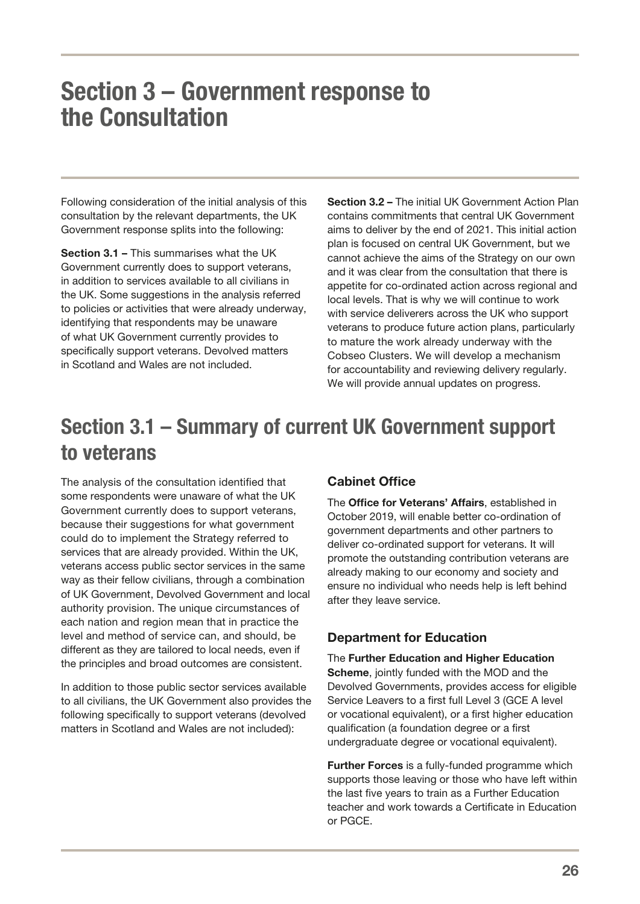# <span id="page-28-0"></span>Section 3 – Government response to the Consultation

Following consideration of the initial analysis of this consultation by the relevant departments, the UK Government response splits into the following:

Section 3.1 – This summarises what the UK Government currently does to support veterans, in addition to services available to all civilians in the UK. Some suggestions in the analysis referred to policies or activities that were already underway, identifying that respondents may be unaware of what UK Government currently provides to specifically support veterans. Devolved matters in Scotland and Wales are not included.

Section 3.2 – The initial UK Government Action Plan contains commitments that central UK Government aims to deliver by the end of 2021. This initial action plan is focused on central UK Government, but we cannot achieve the aims of the Strategy on our own and it was clear from the consultation that there is appetite for co-ordinated action across regional and local levels. That is why we will continue to work with service deliverers across the UK who support veterans to produce future action plans, particularly to mature the work already underway with the Cobseo Clusters. We will develop a mechanism for accountability and reviewing delivery regularly. We will provide annual updates on progress.

### Section 3.1 – Summary of current UK Government support to veterans

The analysis of the consultation identified that some respondents were unaware of what the UK Government currently does to support veterans, because their suggestions for what government could do to implement the Strategy referred to services that are already provided. Within the UK, veterans access public sector services in the same way as their fellow civilians, through a combination of UK Government, Devolved Government and local authority provision. The unique circumstances of each nation and region mean that in practice the level and method of service can, and should, be different as they are tailored to local needs, even if the principles and broad outcomes are consistent.

In addition to those public sector services available to all civilians, the UK Government also provides the following specifically to support veterans (devolved matters in Scotland and Wales are not included):

### Cabinet Office

The Office for Veterans' Affairs, established in October 2019, will enable better co-ordination of government departments and other partners to deliver co-ordinated support for veterans. It will promote the outstanding contribution veterans are already making to our economy and society and ensure no individual who needs help is left behind after they leave service.

### Department for Education

The Further Education and Higher Education Scheme, jointly funded with the MOD and the Devolved Governments, provides access for eligible Service Leavers to a first full Level 3 (GCE A level or vocational equivalent), or a first higher education qualification (a foundation degree or a first undergraduate degree or vocational equivalent).

**Further Forces** is a fully-funded programme which supports those leaving or those who have left within the last five years to train as a Further Education teacher and work towards a Certificate in Education or PGCE.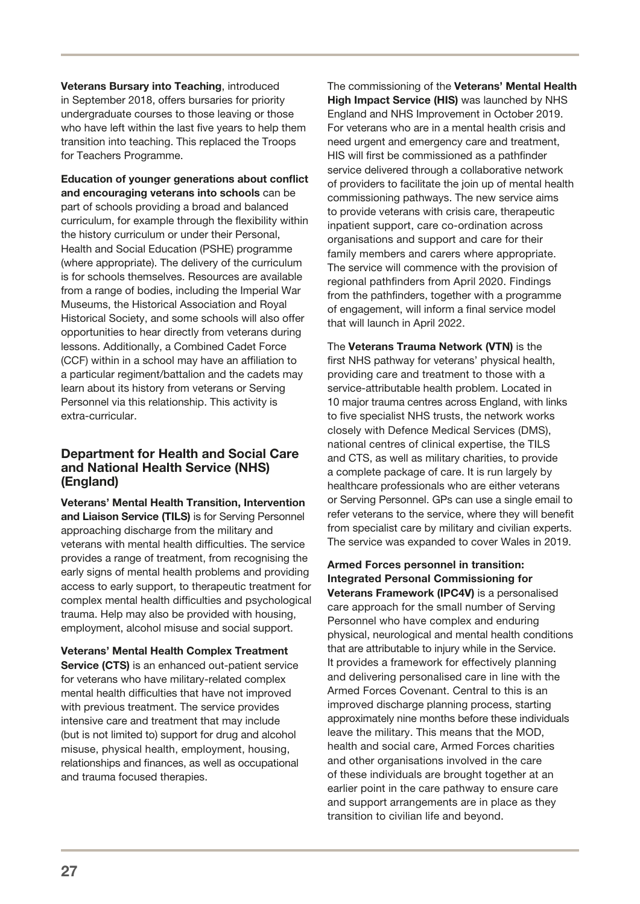Veterans Bursary into Teaching, introduced in September 2018, offers bursaries for priority undergraduate courses to those leaving or those who have left within the last five years to help them transition into teaching. This replaced the Troops for Teachers Programme.

Education of younger generations about conflict and encouraging veterans into schools can be part of schools providing a broad and balanced curriculum, for example through the flexibility within the history curriculum or under their Personal, Health and Social Education (PSHE) programme (where appropriate). The delivery of the curriculum is for schools themselves. Resources are available from a range of bodies, including the Imperial War Museums, the Historical Association and Royal Historical Society, and some schools will also offer opportunities to hear directly from veterans during lessons. Additionally, a Combined Cadet Force (CCF) within in a school may have an affiliation to a particular regiment/battalion and the cadets may learn about its history from veterans or Serving Personnel via this relationship. This activity is extra-curricular.

#### Department for Health and Social Care and National Health Service (NHS) (England)

Veterans' Mental Health Transition, Intervention and Liaison Service (TILS) is for Serving Personnel approaching discharge from the military and veterans with mental health difficulties. The service provides a range of treatment, from recognising the early signs of mental health problems and providing access to early support, to therapeutic treatment for complex mental health difficulties and psychological trauma. Help may also be provided with housing, employment, alcohol misuse and social support.

Veterans' Mental Health Complex Treatment Service (CTS) is an enhanced out-patient service for veterans who have military-related complex mental health difficulties that have not improved with previous treatment. The service provides intensive care and treatment that may include (but is not limited to) support for drug and alcohol misuse, physical health, employment, housing, relationships and finances, as well as occupational and trauma focused therapies.

The commissioning of the Veterans' Mental Health High Impact Service (HIS) was launched by NHS England and NHS Improvement in October 2019. For veterans who are in a mental health crisis and need urgent and emergency care and treatment, HIS will first be commissioned as a pathfinder service delivered through a collaborative network of providers to facilitate the join up of mental health commissioning pathways. The new service aims to provide veterans with crisis care, therapeutic inpatient support, care co-ordination across organisations and support and care for their family members and carers where appropriate. The service will commence with the provision of regional pathfinders from April 2020. Findings from the pathfinders, together with a programme of engagement, will inform a final service model that will launch in April 2022.

The Veterans Trauma Network (VTN) is the first NHS pathway for veterans' physical health, providing care and treatment to those with a service-attributable health problem. Located in 10 major trauma centres across England, with links to five specialist NHS trusts, the network works closely with Defence Medical Services (DMS), national centres of clinical expertise, the TILS and CTS, as well as military charities, to provide a complete package of care. It is run largely by healthcare professionals who are either veterans or Serving Personnel. GPs can use a single email to refer veterans to the service, where they will benefit from specialist care by military and civilian experts. The service was expanded to cover Wales in 2019.

Armed Forces personnel in transition: Integrated Personal Commissioning for Veterans Framework (IPC4V) is a personalised care approach for the small number of Serving Personnel who have complex and enduring physical, neurological and mental health conditions that are attributable to injury while in the Service. It provides a framework for effectively planning and delivering personalised care in line with the Armed Forces Covenant. Central to this is an improved discharge planning process, starting approximately nine months before these individuals leave the military. This means that the MOD, health and social care, Armed Forces charities and other organisations involved in the care of these individuals are brought together at an earlier point in the care pathway to ensure care and support arrangements are in place as they transition to civilian life and beyond.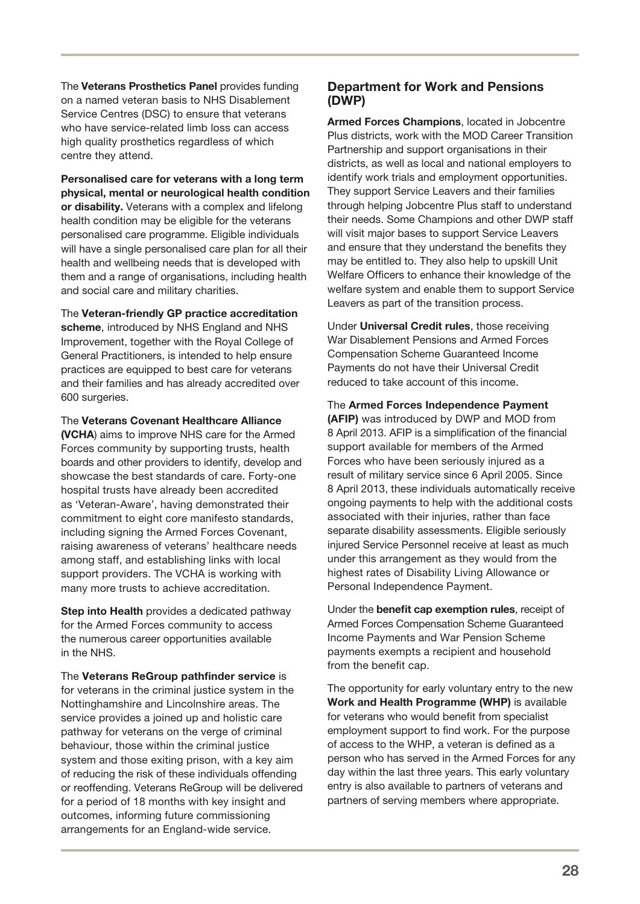The Veterans Prosthetics Panel provides funding on a named veteran basis to NHS Disablement Service Centres (DSC) to ensure that veterans who have service-related limb loss can access high quality prosthetics regardless of which centre they attend.

Personalised care for veterans with a long term physical, mental or neurological health condition or disability. Veterans with a complex and lifelong health condition may be eligible for the veterans personalised care programme. Eligible individuals will have a single personalised care plan for all their health and wellbeing needs that is developed with them and a range of organisations, including health and social care and military charities.

The Veteran-friendly GP practice accreditation scheme, introduced by NHS England and NHS Improvement, together with the Royal College of General Practitioners, is intended to help ensure practices are equipped to best care for veterans and their families and has already accredited over 600 surgeries.

The Veterans Covenant Healthcare Alliance (VCHA) aims to improve NHS care for the Armed Forces community by supporting trusts, health boards and other providers to identify, develop and showcase the best standards of care. Forty-one hospital trusts have already been accredited as 'Veteran-Aware', having demonstrated their commitment to eight core manifesto standards, including signing the Armed Forces Covenant, raising awareness of veterans' healthcare needs among staff, and establishing links with local support providers. The VCHA is working with many more trusts to achieve accreditation.

Step into Health provides a dedicated pathway for the Armed Forces community to access the numerous career opportunities available in the NHS.

The Veterans ReGroup pathfinder service is for veterans in the criminal justice system in the Nottinghamshire and Lincolnshire areas. The service provides a joined up and holistic care pathway for veterans on the verge of criminal behaviour, those within the criminal justice system and those exiting prison, with a key aim of reducing the risk of these individuals offending or reoffending. Veterans ReGroup will be delivered for a period of 18 months with key insight and outcomes, informing future commissioning arrangements for an England-wide service.

#### Department for Work and Pensions (DWP)

Armed Forces Champions, located in Jobcentre Plus districts, work with the MOD Career Transition Partnership and support organisations in their districts, as well as local and national employers to identify work trials and employment opportunities. They support Service Leavers and their families through helping Jobcentre Plus staff to understand their needs. Some Champions and other DWP staff will visit major bases to support Service Leavers and ensure that they understand the benefits they may be entitled to. They also help to upskill Unit Welfare Officers to enhance their knowledge of the welfare system and enable them to support Service Leavers as part of the transition process.

Under Universal Credit rules, those receiving War Disablement Pensions and Armed Forces Compensation Scheme Guaranteed Income Payments do not have their Universal Credit reduced to take account of this income.

The Armed Forces Independence Payment (AFIP) was introduced by DWP and MOD from 8 April 2013. AFIP is a simplification of the financial support available for members of the Armed Forces who have been seriously injured as a result of military service since 6 April 2005. Since 8 April 2013, these individuals automatically receive ongoing payments to help with the additional costs associated with their injuries, rather than face separate disability assessments. Eligible seriously injured Service Personnel receive at least as much under this arrangement as they would from the highest rates of Disability Living Allowance or Personal Independence Payment.

Under the benefit cap exemption rules, receipt of Armed Forces Compensation Scheme Guaranteed Income Payments and War Pension Scheme payments exempts a recipient and household from the benefit cap.

The opportunity for early voluntary entry to the new Work and Health Programme (WHP) is available for veterans who would benefit from specialist employment support to find work. For the purpose of access to the WHP, a veteran is defined as a person who has served in the Armed Forces for any day within the last three years. This early voluntary entry is also available to partners of veterans and partners of serving members where appropriate.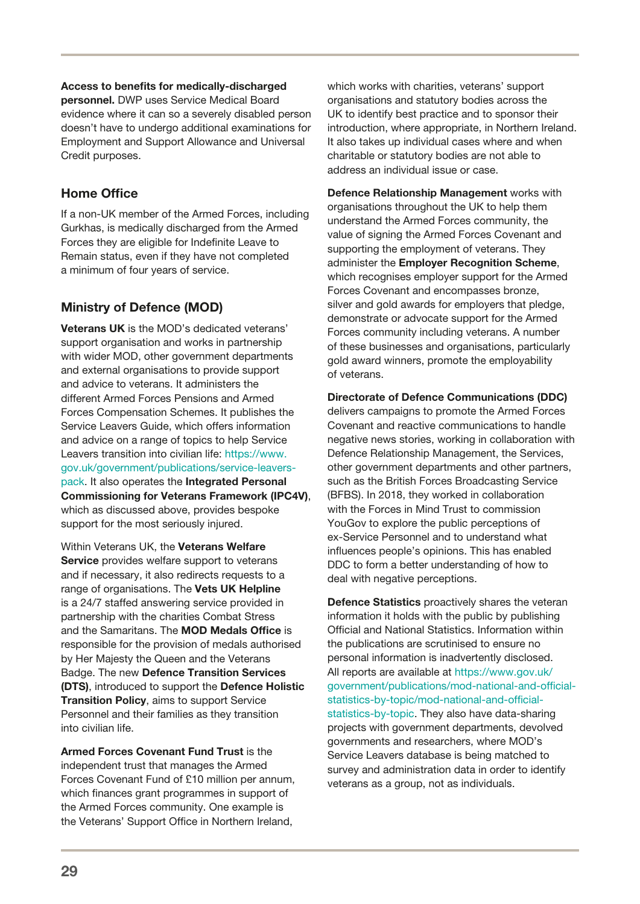#### Access to benefits for medically-discharged

personnel. DWP uses Service Medical Board evidence where it can so a severely disabled person doesn't have to undergo additional examinations for Employment and Support Allowance and Universal Credit purposes.

### Home Office

If a non-UK member of the Armed Forces, including Gurkhas, is medically discharged from the Armed Forces they are eligible for Indefinite Leave to Remain status, even if they have not completed a minimum of four years of service.

### Ministry of Defence (MOD)

Veterans UK is the MOD's dedicated veterans' support organisation and works in partnership with wider MOD, other government departments and external organisations to provide support and advice to veterans. It administers the different Armed Forces Pensions and Armed Forces Compensation Schemes. It publishes the Service Leavers Guide, which offers information and advice on a range of topics to help Service Leavers transition into civilian life: [https://www.](https://www.gov.uk/government/publications/service-leavers-pack) [gov.uk/government/publications/service-leavers](https://www.gov.uk/government/publications/service-leavers-pack)[pack.](https://www.gov.uk/government/publications/service-leavers-pack) It also operates the Integrated Personal Commissioning for Veterans Framework (IPC4V), which as discussed above, provides bespoke support for the most seriously injured.

Within Veterans UK, the Veterans Welfare Service provides welfare support to veterans and if necessary, it also redirects requests to a range of organisations. The Vets UK Helpline is a 24/7 staffed answering service provided in partnership with the charities Combat Stress and the Samaritans. The MOD Medals Office is responsible for the provision of medals authorised by Her Majesty the Queen and the Veterans Badge. The new Defence Transition Services (DTS), introduced to support the Defence Holistic Transition Policy, aims to support Service Personnel and their families as they transition into civilian life.

Armed Forces Covenant Fund Trust is the independent trust that manages the Armed Forces Covenant Fund of £10 million per annum, which finances grant programmes in support of the Armed Forces community. One example is the Veterans' Support Office in Northern Ireland,

which works with charities, veterans' support organisations and statutory bodies across the UK to identify best practice and to sponsor their introduction, where appropriate, in Northern Ireland. It also takes up individual cases where and when charitable or statutory bodies are not able to address an individual issue or case.

Defence Relationship Management works with organisations throughout the UK to help them understand the Armed Forces community, the value of signing the Armed Forces Covenant and supporting the employment of veterans. They administer the Employer Recognition Scheme, which recognises employer support for the Armed Forces Covenant and encompasses bronze, silver and gold awards for employers that pledge, demonstrate or advocate support for the Armed Forces community including veterans. A number of these businesses and organisations, particularly gold award winners, promote the employability of veterans.

### Directorate of Defence Communications (DDC)

delivers campaigns to promote the Armed Forces Covenant and reactive communications to handle negative news stories, working in collaboration with Defence Relationship Management, the Services, other government departments and other partners, such as the British Forces Broadcasting Service (BFBS). In 2018, they worked in collaboration with the Forces in Mind Trust to commission YouGov to explore the public perceptions of ex-Service Personnel and to understand what influences people's opinions. This has enabled DDC to form a better understanding of how to deal with negative perceptions.

Defence Statistics proactively shares the veteran information it holds with the public by publishing Official and National Statistics. Information within the publications are scrutinised to ensure no personal information is inadvertently disclosed. All reports are available at [https://www.gov.uk/](https://www.gov.uk/government/publications/mod-national-and-official-statistics-by-topic/mod-national-and-official-statistics-by-topic) [government/publications/mod-national-and-official](https://www.gov.uk/government/publications/mod-national-and-official-statistics-by-topic/mod-national-and-official-statistics-by-topic)[statistics-by-topic/mod-national-and-official](https://www.gov.uk/government/publications/mod-national-and-official-statistics-by-topic/mod-national-and-official-statistics-by-topic)[statistics-by-topic](https://www.gov.uk/government/publications/mod-national-and-official-statistics-by-topic/mod-national-and-official-statistics-by-topic). They also have data-sharing projects with government departments, devolved governments and researchers, where MOD's Service Leavers database is being matched to survey and administration data in order to identify veterans as a group, not as individuals.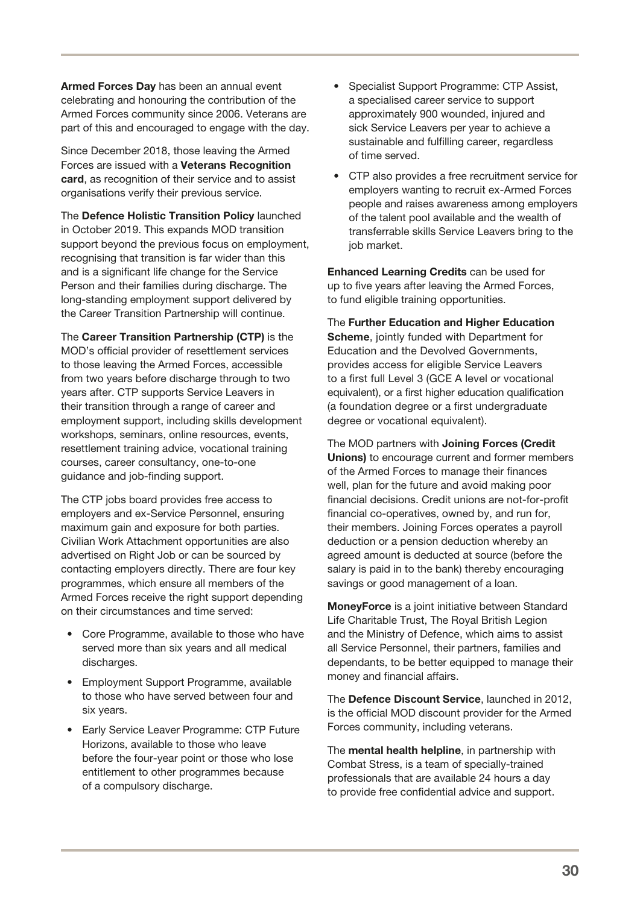Armed Forces Day has been an annual event celebrating and honouring the contribution of the Armed Forces community since 2006. Veterans are part of this and encouraged to engage with the day.

Since December 2018, those leaving the Armed Forces are issued with a Veterans Recognition card, as recognition of their service and to assist organisations verify their previous service.

The Defence Holistic Transition Policy launched in October 2019. This expands MOD transition support beyond the previous focus on employment, recognising that transition is far wider than this and is a significant life change for the Service Person and their families during discharge. The long-standing employment support delivered by the Career Transition Partnership will continue.

The Career Transition Partnership (CTP) is the MOD's official provider of resettlement services to those leaving the Armed Forces, accessible from two years before discharge through to two years after. CTP supports Service Leavers in their transition through a range of career and employment support, including skills development workshops, seminars, online resources, events, resettlement training advice, vocational training courses, career consultancy, one-to-one guidance and job-finding support.

The CTP jobs board provides free access to employers and ex-Service Personnel, ensuring maximum gain and exposure for both parties. Civilian Work Attachment opportunities are also advertised on Right Job or can be sourced by contacting employers directly. There are four key programmes, which ensure all members of the Armed Forces receive the right support depending on their circumstances and time served:

- Core Programme, available to those who have served more than six years and all medical discharges.
- Employment Support Programme, available to those who have served between four and six years.
- Early Service Leaver Programme: CTP Future Horizons, available to those who leave before the four-year point or those who lose entitlement to other programmes because of a compulsory discharge.
- Specialist Support Programme: CTP Assist, a specialised career service to support approximately 900 wounded, injured and sick Service Leavers per year to achieve a sustainable and fulfilling career, regardless of time served.
- CTP also provides a free recruitment service for employers wanting to recruit ex-Armed Forces people and raises awareness among employers of the talent pool available and the wealth of transferrable skills Service Leavers bring to the job market.

Enhanced Learning Credits can be used for up to five years after leaving the Armed Forces, to fund eligible training opportunities.

The Further Education and Higher Education Scheme, jointly funded with Department for Education and the Devolved Governments, provides access for eligible Service Leavers to a first full Level 3 (GCE A level or vocational equivalent), or a first higher education qualification (a foundation degree or a first undergraduate degree or vocational equivalent).

The MOD partners with Joining Forces (Credit Unions) to encourage current and former members of the Armed Forces to manage their finances well, plan for the future and avoid making poor financial decisions. Credit unions are not-for-profit financial co-operatives, owned by, and run for, their members. Joining Forces operates a payroll deduction or a pension deduction whereby an agreed amount is deducted at source (before the salary is paid in to the bank) thereby encouraging savings or good management of a loan.

MoneyForce is a joint initiative between Standard Life Charitable Trust, The Royal British Legion and the Ministry of Defence, which aims to assist all Service Personnel, their partners, families and dependants, to be better equipped to manage their money and financial affairs.

The Defence Discount Service, launched in 2012, is the official MOD discount provider for the Armed Forces community, including veterans.

The mental health helpline, in partnership with Combat Stress, is a team of specially-trained professionals that are available 24 hours a day to provide free confidential advice and support.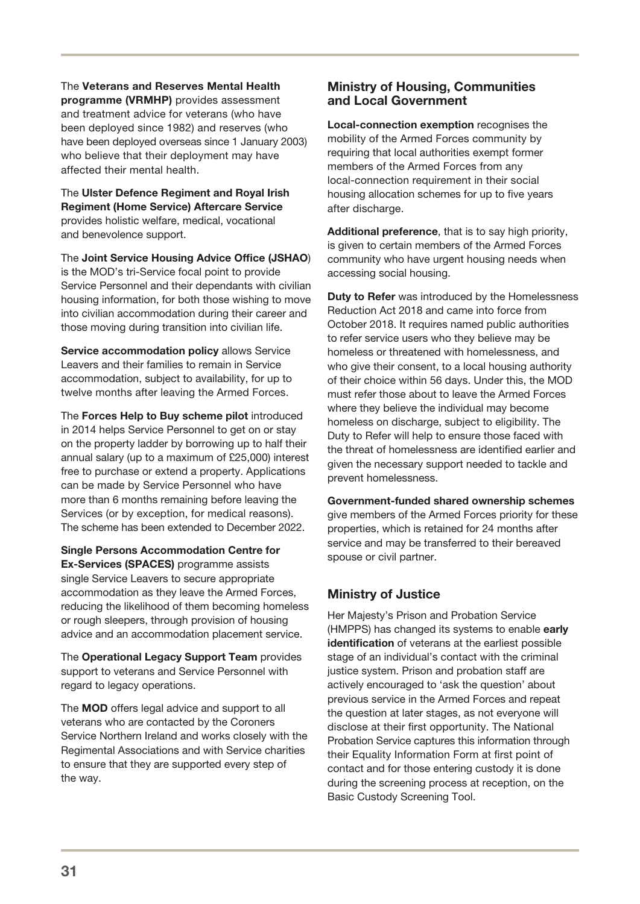The Veterans and Reserves Mental Health programme (VRMHP) provides assessment and treatment advice for veterans (who have been deployed since 1982) and reserves (who have been deployed overseas since 1 January 2003) who believe that their deployment may have affected their mental health.

The Ulster Defence Regiment and Royal Irish Regiment (Home Service) Aftercare Service provides holistic welfare, medical, vocational and benevolence support.

The Joint Service Housing Advice Office (JSHAO) is the MOD's tri-Service focal point to provide Service Personnel and their dependants with civilian housing information, for both those wishing to move into civilian accommodation during their career and those moving during transition into civilian life.

Service accommodation policy allows Service Leavers and their families to remain in Service accommodation, subject to availability, for up to twelve months after leaving the Armed Forces.

The Forces Help to Buy scheme pilot introduced in 2014 helps Service Personnel to get on or stay on the property ladder by borrowing up to half their annual salary (up to a maximum of £25,000) interest free to purchase or extend a property. Applications can be made by Service Personnel who have more than 6 months remaining before leaving the Services (or by exception, for medical reasons). The scheme has been extended to December 2022.

Single Persons Accommodation Centre for Ex-Services (SPACES) programme assists single Service Leavers to secure appropriate accommodation as they leave the Armed Forces, reducing the likelihood of them becoming homeless or rough sleepers, through provision of housing advice and an accommodation placement service.

The Operational Legacy Support Team provides support to veterans and Service Personnel with regard to legacy operations.

The MOD offers legal advice and support to all veterans who are contacted by the Coroners Service Northern Ireland and works closely with the Regimental Associations and with Service charities to ensure that they are supported every step of the way.

### Ministry of Housing, Communities and Local Government

Local-connection exemption recognises the mobility of the Armed Forces community by requiring that local authorities exempt former members of the Armed Forces from any local-connection requirement in their social housing allocation schemes for up to five years after discharge.

Additional preference, that is to say high priority. is given to certain members of the Armed Forces community who have urgent housing needs when accessing social housing.

**Duty to Refer** was introduced by the Homelessness Reduction Act 2018 and came into force from October 2018. It requires named public authorities to refer service users who they believe may be homeless or threatened with homelessness, and who give their consent, to a local housing authority of their choice within 56 days. Under this, the MOD must refer those about to leave the Armed Forces where they believe the individual may become homeless on discharge, subject to eligibility. The Duty to Refer will help to ensure those faced with the threat of homelessness are identified earlier and given the necessary support needed to tackle and prevent homelessness.

Government-funded shared ownership schemes give members of the Armed Forces priority for these properties, which is retained for 24 months after service and may be transferred to their bereaved spouse or civil partner.

### Ministry of Justice

Her Majesty's Prison and Probation Service (HMPPS) has changed its systems to enable early identification of veterans at the earliest possible stage of an individual's contact with the criminal justice system. Prison and probation staff are actively encouraged to 'ask the question' about previous service in the Armed Forces and repeat the question at later stages, as not everyone will disclose at their first opportunity. The National Probation Service captures this information through their Equality Information Form at first point of contact and for those entering custody it is done during the screening process at reception, on the Basic Custody Screening Tool.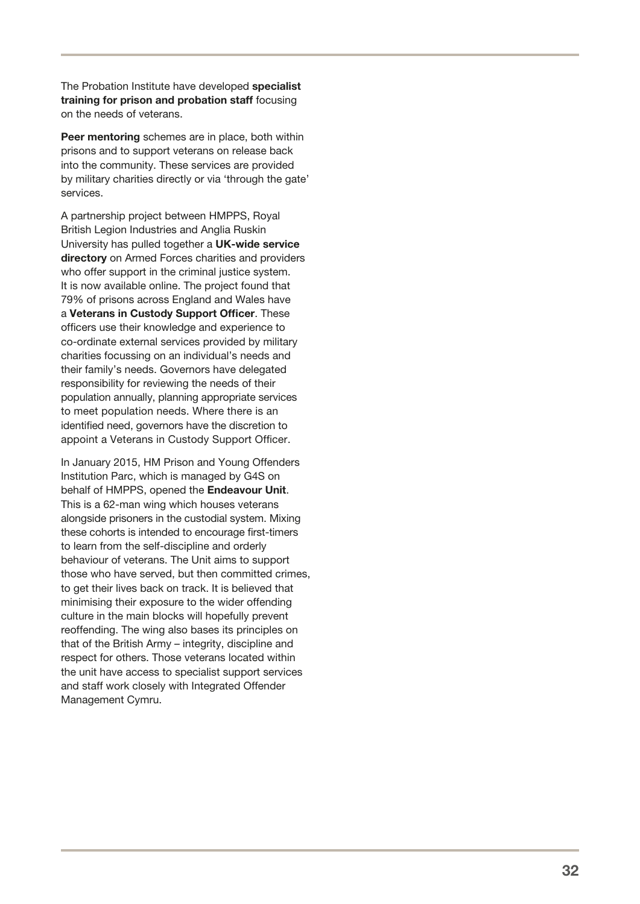The Probation Institute have developed specialist training for prison and probation staff focusing on the needs of veterans.

Peer mentoring schemes are in place, both within prisons and to support veterans on release back into the community. These services are provided by military charities directly or via 'through the gate' services.

A partnership project between HMPPS, Royal British Legion Industries and Anglia Ruskin University has pulled together a UK-wide service directory on Armed Forces charities and providers who offer support in the criminal justice system. It is now available online. The project found that 79% of prisons across England and Wales have a Veterans in Custody Support Officer. These officers use their knowledge and experience to co-ordinate external services provided by military charities focussing on an individual's needs and their family's needs. Governors have delegated responsibility for reviewing the needs of their population annually, planning appropriate services to meet population needs. Where there is an identified need, governors have the discretion to appoint a Veterans in Custody Support Officer.

In January 2015, HM Prison and Young Offenders Institution Parc, which is managed by G4S on behalf of HMPPS, opened the Endeavour Unit. This is a 62-man wing which houses veterans alongside prisoners in the custodial system. Mixing these cohorts is intended to encourage first -timers to learn from the self-discipline and orderly behaviour of veterans. The Unit aims to support those who have served, but then committed crimes, to get their lives back on track. It is believed that minimising their exposure to the wider offending culture in the main blocks will hopefully prevent reoffending. The wing also bases its principles on that of the British Army – integrity, discipline and respect for others. Those veterans located within the unit have access to specialist support services and staff work closely with Integrated Offender Management Cymru.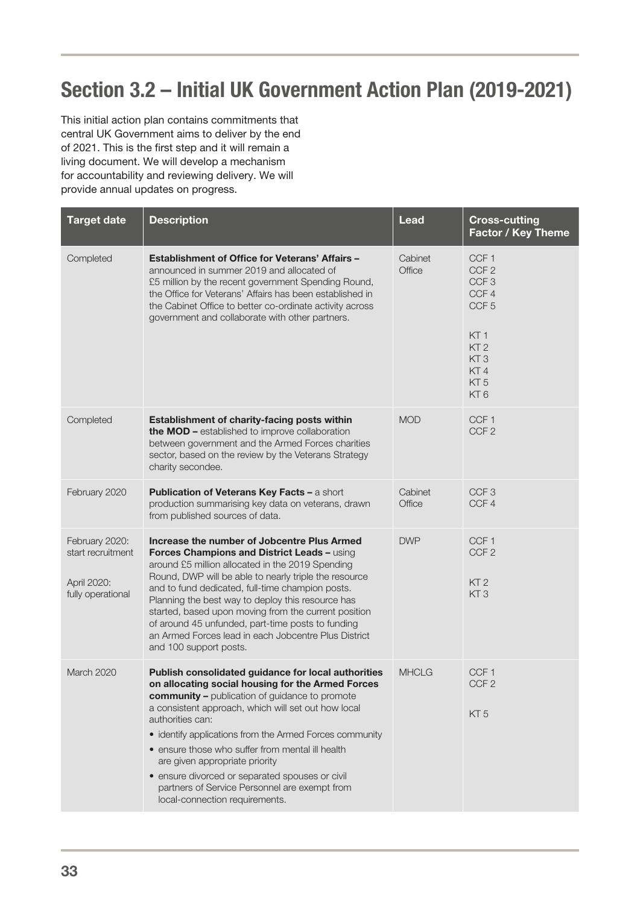# <span id="page-35-0"></span>Section 3.2 – Initial UK Government Action Plan (2019-2021)

This initial action plan contains commitments that central UK Government aims to deliver by the end of 2021. This is the first step and it will remain a living document. We will develop a mechanism for accountability and reviewing delivery. We will provide annual updates on progress.

| <b>Target date</b>                                                      | <b>Description</b>                                                                                                                                                                                                                                                                                                                                                                                                                                                                                                           | <b>Lead</b>       | <b>Cross-cutting</b><br><b>Factor / Key Theme</b>                                                                                                                                          |
|-------------------------------------------------------------------------|------------------------------------------------------------------------------------------------------------------------------------------------------------------------------------------------------------------------------------------------------------------------------------------------------------------------------------------------------------------------------------------------------------------------------------------------------------------------------------------------------------------------------|-------------------|--------------------------------------------------------------------------------------------------------------------------------------------------------------------------------------------|
| Completed                                                               | <b>Establishment of Office for Veterans' Affairs -</b><br>announced in summer 2019 and allocated of<br>£5 million by the recent government Spending Round,<br>the Office for Veterans' Affairs has been established in<br>the Cabinet Office to better co-ordinate activity across<br>government and collaborate with other partners.                                                                                                                                                                                        | Cabinet<br>Office | CCF <sub>1</sub><br>CCF <sub>2</sub><br>CCF <sub>3</sub><br>CCF4<br>CCF <sub>5</sub><br>KT <sub>1</sub><br>KT <sub>2</sub><br>KT <sub>3</sub><br>KT4<br>KT <sub>5</sub><br>KT <sub>6</sub> |
| Completed                                                               | Establishment of charity-facing posts within<br>the MOD - established to improve collaboration<br>between government and the Armed Forces charities<br>sector, based on the review by the Veterans Strategy<br>charity secondee.                                                                                                                                                                                                                                                                                             | <b>MOD</b>        | CCF <sub>1</sub><br>CCF <sub>2</sub>                                                                                                                                                       |
| February 2020                                                           | Publication of Veterans Key Facts - a short<br>production summarising key data on veterans, drawn<br>from published sources of data.                                                                                                                                                                                                                                                                                                                                                                                         | Cabinet<br>Office | CCF <sub>3</sub><br>CCF4                                                                                                                                                                   |
| February 2020:<br>start recruitment<br>April 2020:<br>fully operational | Increase the number of Jobcentre Plus Armed<br>Forces Champions and District Leads - using<br>around £5 million allocated in the 2019 Spending<br>Round, DWP will be able to nearly triple the resource<br>and to fund dedicated, full-time champion posts.<br>Planning the best way to deploy this resource has<br>started, based upon moving from the current position<br>of around 45 unfunded, part-time posts to funding<br>an Armed Forces lead in each Jobcentre Plus District<br>and 100 support posts.              | <b>DWP</b>        | CCF <sub>1</sub><br>CCF <sub>2</sub><br>KT <sub>2</sub><br>KT <sub>3</sub>                                                                                                                 |
| March 2020                                                              | Publish consolidated guidance for local authorities<br>on allocating social housing for the Armed Forces<br>community - publication of guidance to promote<br>a consistent approach, which will set out how local<br>authorities can:<br>• identify applications from the Armed Forces community<br>• ensure those who suffer from mental ill health<br>are given appropriate priority<br>• ensure divorced or separated spouses or civil<br>partners of Service Personnel are exempt from<br>local-connection requirements. | <b>MHCLG</b>      | CCF <sub>1</sub><br>CCF <sub>2</sub><br>KT <sub>5</sub>                                                                                                                                    |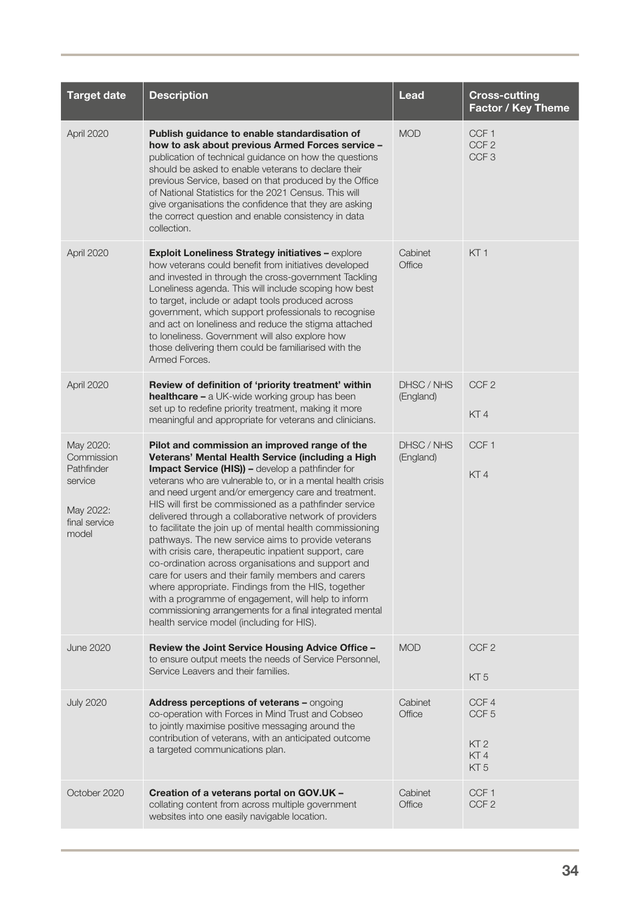| <b>Target date</b>                                                                      | <b>Description</b>                                                                                                                                                                                                                                                                                                                                                                                                                                                                                                                                                                                                                                                                                                                                                                                                                                                                                                     | <b>Lead</b>             | <b>Cross-cutting</b><br><b>Factor / Key Theme</b>          |
|-----------------------------------------------------------------------------------------|------------------------------------------------------------------------------------------------------------------------------------------------------------------------------------------------------------------------------------------------------------------------------------------------------------------------------------------------------------------------------------------------------------------------------------------------------------------------------------------------------------------------------------------------------------------------------------------------------------------------------------------------------------------------------------------------------------------------------------------------------------------------------------------------------------------------------------------------------------------------------------------------------------------------|-------------------------|------------------------------------------------------------|
| April 2020                                                                              | Publish guidance to enable standardisation of<br>how to ask about previous Armed Forces service -<br>publication of technical guidance on how the questions<br>should be asked to enable veterans to declare their<br>previous Service, based on that produced by the Office<br>of National Statistics for the 2021 Census. This will<br>give organisations the confidence that they are asking<br>the correct question and enable consistency in data<br>collection.                                                                                                                                                                                                                                                                                                                                                                                                                                                  | <b>MOD</b>              | CCF <sub>1</sub><br>CCF <sub>2</sub><br>CCF <sub>3</sub>   |
| April 2020                                                                              | Exploit Loneliness Strategy initiatives - explore<br>how veterans could benefit from initiatives developed<br>and invested in through the cross-government Tackling<br>Loneliness agenda. This will include scoping how best<br>to target, include or adapt tools produced across<br>government, which support professionals to recognise<br>and act on loneliness and reduce the stigma attached<br>to loneliness. Government will also explore how<br>those delivering them could be familiarised with the<br>Armed Forces.                                                                                                                                                                                                                                                                                                                                                                                          | Cabinet<br>Office       | KT <sub>1</sub>                                            |
| April 2020                                                                              | Review of definition of 'priority treatment' within<br><b>healthcare - a UK-wide working group has been</b><br>set up to redefine priority treatment, making it more<br>meaningful and appropriate for veterans and clinicians.                                                                                                                                                                                                                                                                                                                                                                                                                                                                                                                                                                                                                                                                                        | DHSC / NHS<br>(England) | CCF <sub>2</sub><br>KT4                                    |
| May 2020:<br>Commission<br>Pathfinder<br>service<br>May 2022:<br>final service<br>model | Pilot and commission an improved range of the<br>Veterans' Mental Health Service (including a High<br><b>Impact Service (HIS)) - develop a pathfinder for</b><br>veterans who are vulnerable to, or in a mental health crisis<br>and need urgent and/or emergency care and treatment.<br>HIS will first be commissioned as a pathfinder service<br>delivered through a collaborative network of providers<br>to facilitate the join up of mental health commissioning<br>pathways. The new service aims to provide veterans<br>with crisis care, therapeutic inpatient support, care<br>co-ordination across organisations and support and<br>care for users and their family members and carers<br>where appropriate. Findings from the HIS, together<br>with a programme of engagement, will help to inform<br>commissioning arrangements for a final integrated mental<br>health service model (including for HIS). | DHSC / NHS<br>(England) | CCF <sub>1</sub><br>KT4                                    |
| <b>June 2020</b>                                                                        | Review the Joint Service Housing Advice Office -<br>to ensure output meets the needs of Service Personnel,<br>Service Leavers and their families.                                                                                                                                                                                                                                                                                                                                                                                                                                                                                                                                                                                                                                                                                                                                                                      | <b>MOD</b>              | CCF <sub>2</sub><br>KT <sub>5</sub>                        |
| <b>July 2020</b>                                                                        | Address perceptions of veterans - ongoing<br>co-operation with Forces in Mind Trust and Cobseo<br>to jointly maximise positive messaging around the<br>contribution of veterans, with an anticipated outcome<br>a targeted communications plan.                                                                                                                                                                                                                                                                                                                                                                                                                                                                                                                                                                                                                                                                        | Cabinet<br>Office       | CCF4<br>CCF <sub>5</sub><br>KT 2<br>KT4<br>KT <sub>5</sub> |
| October 2020                                                                            | Creation of a veterans portal on GOV.UK -<br>collating content from across multiple government<br>websites into one easily navigable location.                                                                                                                                                                                                                                                                                                                                                                                                                                                                                                                                                                                                                                                                                                                                                                         | Cabinet<br>Office       | CCF <sub>1</sub><br>CCF <sub>2</sub>                       |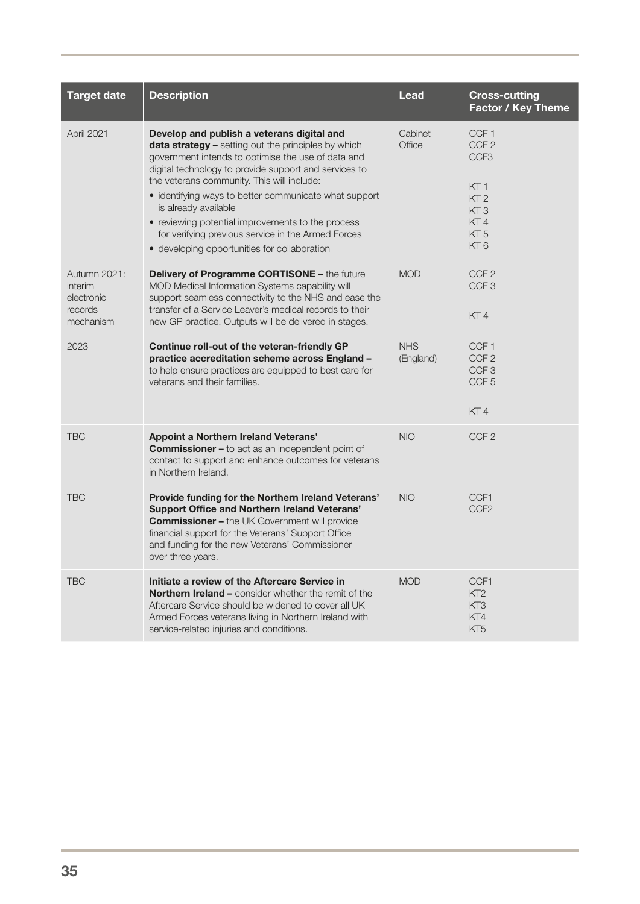| <b>Target date</b>                                            | <b>Description</b>                                                                                                                                                                                                                                                                                                                                                                                                                                                                                         | Lead                    | <b>Cross-cutting</b><br>Factor / Key Theme                                                                                   |
|---------------------------------------------------------------|------------------------------------------------------------------------------------------------------------------------------------------------------------------------------------------------------------------------------------------------------------------------------------------------------------------------------------------------------------------------------------------------------------------------------------------------------------------------------------------------------------|-------------------------|------------------------------------------------------------------------------------------------------------------------------|
| April 2021                                                    | Develop and publish a veterans digital and<br>data strategy - setting out the principles by which<br>government intends to optimise the use of data and<br>digital technology to provide support and services to<br>the veterans community. This will include:<br>• identifying ways to better communicate what support<br>is already available<br>• reviewing potential improvements to the process<br>for verifying previous service in the Armed Forces<br>• developing opportunities for collaboration | Cabinet<br>Office       | CCF <sub>1</sub><br>CCF <sub>2</sub><br>CCF <sub>3</sub><br>KT 1<br>KT <sub>2</sub><br>KT3<br>KT4<br>KT 5<br>KT <sub>6</sub> |
| Autumn 2021:<br>interim<br>electronic<br>records<br>mechanism | <b>Delivery of Programme CORTISONE - the future</b><br>MOD Medical Information Systems capability will<br>support seamless connectivity to the NHS and ease the<br>transfer of a Service Leaver's medical records to their<br>new GP practice. Outputs will be delivered in stages.                                                                                                                                                                                                                        | <b>MOD</b>              | CCF <sub>2</sub><br>CCF <sub>3</sub><br>KT4                                                                                  |
| 2023                                                          | Continue roll-out of the veteran-friendly GP<br>practice accreditation scheme across England -<br>to help ensure practices are equipped to best care for<br>veterans and their families.                                                                                                                                                                                                                                                                                                                   | <b>NHS</b><br>(England) | CCF <sub>1</sub><br>CCF <sub>2</sub><br>CCF <sub>3</sub><br>CCF <sub>5</sub><br>KT4                                          |
| <b>TBC</b>                                                    | <b>Appoint a Northern Ireland Veterans'</b><br><b>Commissioner - to act as an independent point of</b><br>contact to support and enhance outcomes for veterans<br>in Northern Ireland.                                                                                                                                                                                                                                                                                                                     | <b>NIO</b>              | CCF <sub>2</sub>                                                                                                             |
| <b>TBC</b>                                                    | Provide funding for the Northern Ireland Veterans'<br><b>Support Office and Northern Ireland Veterans'</b><br><b>Commissioner - the UK Government will provide</b><br>financial support for the Veterans' Support Office<br>and funding for the new Veterans' Commissioner<br>over three years.                                                                                                                                                                                                            | <b>NIO</b>              | CCF1<br>CCF <sub>2</sub>                                                                                                     |
| <b>TBC</b>                                                    | Initiate a review of the Aftercare Service in<br><b>Northern Ireland - consider whether the remit of the</b><br>Aftercare Service should be widened to cover all UK<br>Armed Forces veterans living in Northern Ireland with<br>service-related injuries and conditions.                                                                                                                                                                                                                                   | <b>MOD</b>              | CCF1<br>KT <sub>2</sub><br>KT <sub>3</sub><br>KT4<br>KT5                                                                     |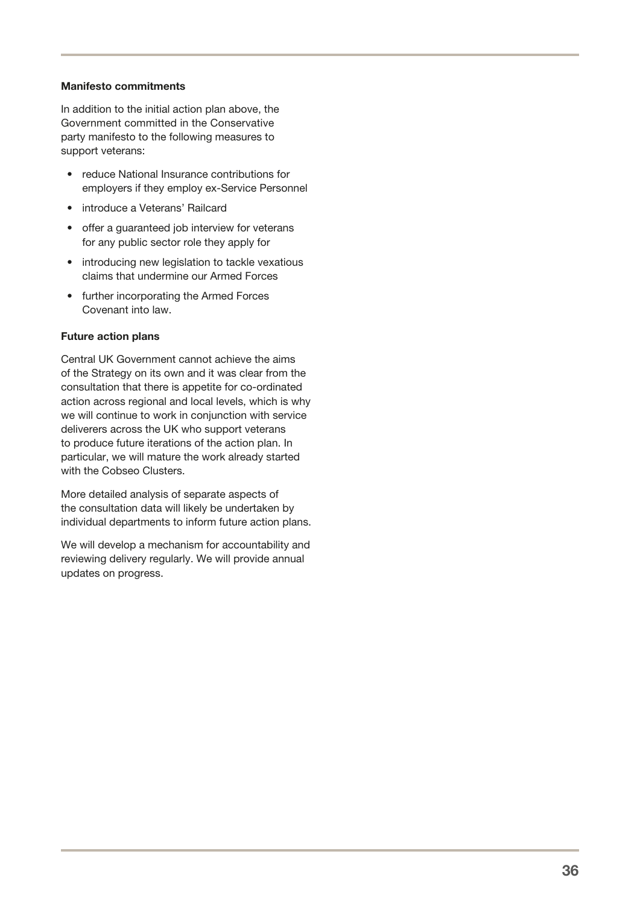#### Manifesto commitments

In addition to the initial action plan above, the Government committed in the Conservative party manifesto to the following measures to support veterans:

- reduce National Insurance contributions for employers if they employ ex-Service Personnel
- introduce a Veterans' Railcard
- offer a guaranteed job interview for veterans for any public sector role they apply for
- introducing new legislation to tackle vexatious claims that undermine our Armed Forces
- further incorporating the Armed Forces Covenant into law.

#### Future action plans

Central UK Government cannot achieve the aims of the Strategy on its own and it was clear from the consultation that there is appetite for co-ordinated action across regional and local levels, which is why we will continue to work in conjunction with service deliverers across the UK who support veterans to produce future iterations of the action plan. In particular, we will mature the work already started with the Cobseo Clusters.

More detailed analysis of separate aspects of the consultation data will likely be undertaken by individual departments to inform future action plans.

We will develop a mechanism for accountability and reviewing delivery regularly. We will provide annual updates on progress.